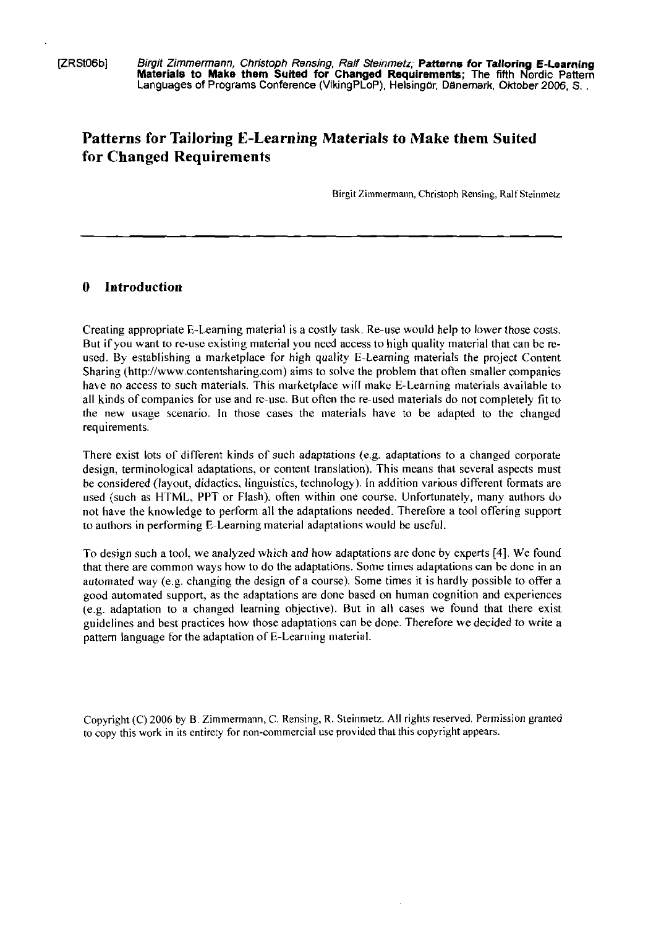[ZRStOGb] Birgit Zimmernrann, Chnstoph Rensing. Ralf Steinmetz; **Patterns for Tallorin E Learning Materiale to Make them Sulted for Changed Requirements;** The fifth aordk Pattern Languages of Programs Conference (VikingPLoP). Helsingar, Danemark, Olrrober **2006.** S.

# **Patterns for Tailoring E-Learning Materials to Make them Suited for Changed Requirements**

Birgit Zimmermann, Christoph Rensing, Ralf Steinmetz

#### **0 Introduction**

Creating appropriate E-Learning material is a costly task. Re-use would help to lower those costs. But if you want to re-use existing material you need access to high quality material that can be reused. By establishing a marketplace for high quality E-Learning materials the project Content Sharing (http://www.contentsharing.com) aims to solve the problem that often smaller companies have no access to such materials. This marketplace will make E-Learning materials available to all kinds of companies for use and re-use. But often the re-used materials do not completely fit to the new wage scenario. In those cases the materials have to be adapted to the changed requirements.

There exist lots of different kinds of such adaptations (e.g. adaptations to a changed corporate design, terminological adaptations, or content translation). This means that several aspects must be considered (layout, didactics, linguistics, technology). In addition various different formats are used (such as HTML, PPT or Flash), often within one course. Unfortunately, many authors do not have the knowledge to perform all the adaptations needed. Therefore a tool offering support to authors in performing E-Learning material adaptations would be useful.

To design such a tool. we analyzed which and how adaptations are done by experts [4]. We found that there are common ways how to do the adaptations. Some timea adaptations can bc donc in an automated way (e.g. changing the design of a course). Some times it is hardly possible to offer a good automated support, as the adaptations are done based on human cognition and experiences  $(e.g., addition to a changed learning objective)$ . But in all cases we found that there exist guidelines and best practices how those adaptations can be done Therefore we decided to write a pattern language for the adaptation of E-Learning material.

Copyright (C) 2006 by B. Zimmermann, C. Rensing, R. Steinmetz. All rights reserved. Pennission granted to copy this work in its rntirety for non-commercial use provided that this copyright appears.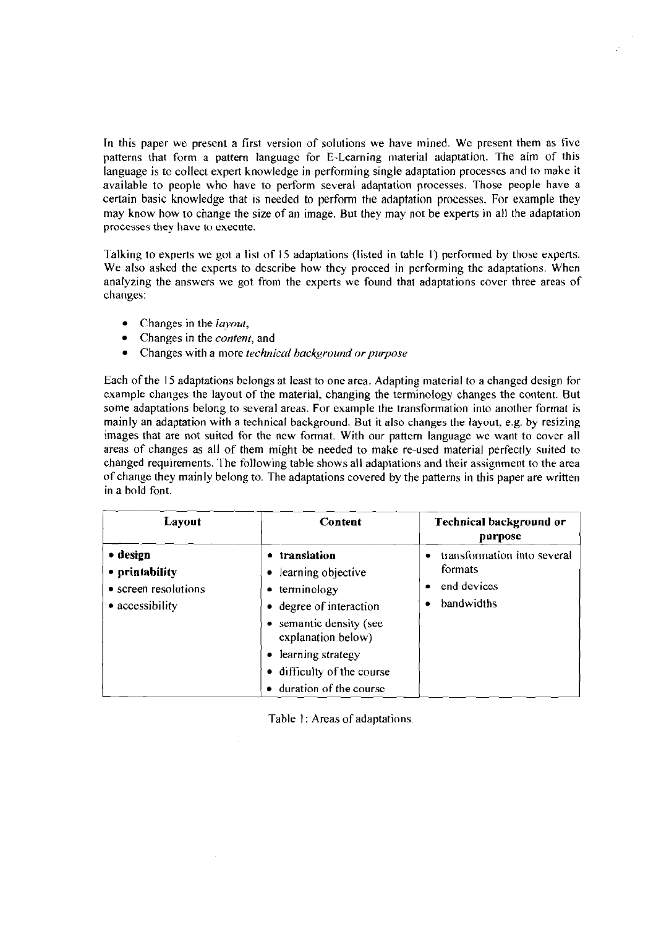In this paper we present a first version of solutions we have mined. We present them as five patterns that form a pattern language for E-Learning material adaptation. The aim of this language is to collect expert knowledge in performing single adaptation processes and to make it available to people who have to perform several adaptation processes. Those people have a certain basic knowledge that **1s** needed to perform the adaptation processes. For example they may know how to change the size of an image. But they may not be experts in all the adaptation processes they have to execute.

Talkinp to experts we got a list of 15 adaptations (listed in table I) performed by thobc experts. We also asked the experts to describe how they proceed in performing the adaptations. When analyzing the answers we got from the experts we found that adaptations cover three areas of changes:

- Changes in the *layour,*   $\bullet$
- Changes in the *confenr,* and
- Changes with a more *technical background or purpose*

Each ofthe **15** adaptations belongs at least to one area. Adapting material to a changed design for example changes the layout of the material, changing the terminology changes the content. But some adaptations belong to several areas. For example the transformation into another format is mainly an adaptation with a technical background. But it also changes the layout, e.g. by resizing images that are not suited for the new format. With our pattern language we Want to cover all areas of changes as all of them might be needed to make re-used material perfectly suited to changed requirements. 'lhe following table shows all adaptations and their assignment to the area of change they mainly belong to. The adaptations covered by the patterns in this paper are written in a hold font.

| <b>Layout</b>                                                         | Content                                                                                                                                                                                                           | <b>Technical background or</b><br>purpose                           |
|-----------------------------------------------------------------------|-------------------------------------------------------------------------------------------------------------------------------------------------------------------------------------------------------------------|---------------------------------------------------------------------|
| • design<br>• printability<br>• screen resolutions<br>• accessibility | • translation<br>• learning objective<br>• terminology<br>• degree of interaction<br>• semantic density (see<br>explanation below)<br>• learning strategy<br>• difficulty of the course<br>duration of the course | transformation into several<br>formats<br>end devices<br>bandwidths |

Table 1: Areas of adaptations.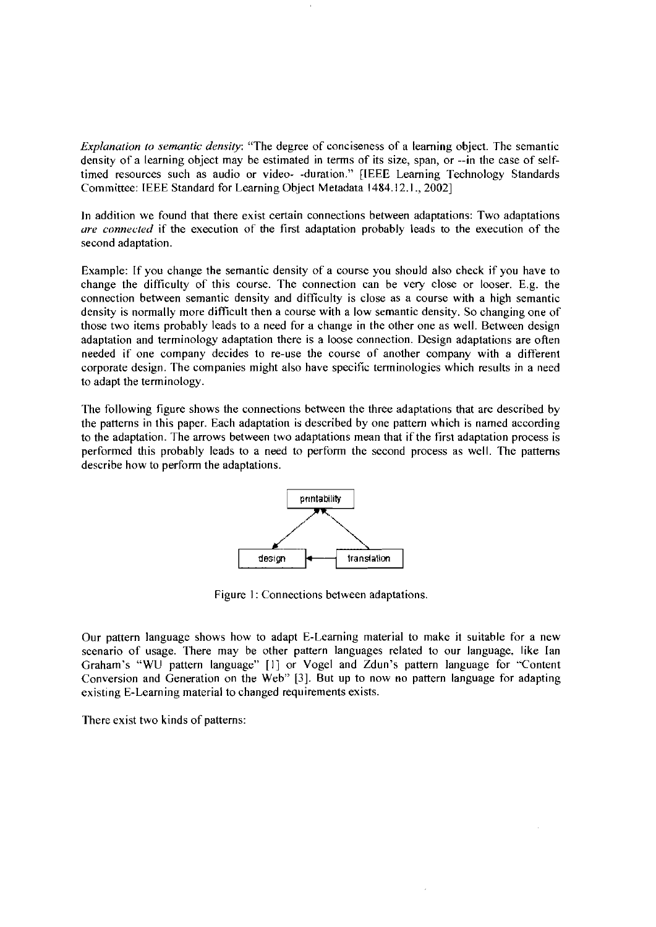Explanation to semantic density: "The degree of conciseness of a learning object. The semantic density of a learning object may be estimated in terms of its size, span, or --in the case of selftimed resources such as audio or video- -duration." [IEEE Learning Technology Standards Committee: IEEE Standard for Learning Object Metadata 1484.12.1., 2002]

In addition we found that there exist certain connections between adaptations: Two adaptations are *connected* if the execution of the first adaptation probably leads to the execution of the second adaptation.

Example: If you change the semantic density of a course you sliould also check if you have to change the difficulty of this course. The connection can be very close or looser. E.g. the connection between semantic density and difficulty is close as a course with a high semantic density is normally more difficult then a course with a low semantic density. So changing one of those two items probably leads to a need for a change in the other one as well. Between design adaptation and terminology adaptation there is a loose connection. Design adaptations are often needed if one company decides to re-use the course of another company with a different corporate design. The companies might also have specific terminologies which results in a need to adapt the terminology.

The following figure shows the connections beiween the three adaptations that are described by the patterns in this paper. Each adaptation is described by one pattern which is named according to the adaptation. The arrows between two adaptations mean that if the first adaptation process is performed this probably leads to a need to perform the second process as well. The patterns describe how to perform the adaptations.



Figure 1: Connections between adaptations.

Our pattern language shows how to adapt E-Learning material to make it suitable for a new scenario of usage. There may be other pattern languages related to our language. like lan Graham's "WU pattern language" [I] or Vogel and Zdun's pattern language for "Content Conversion and Generation on the Web" [3]. But up to now no pattern language for adapting existing E-Learning material to changed requirements exists.

There exist two kinds of patterns: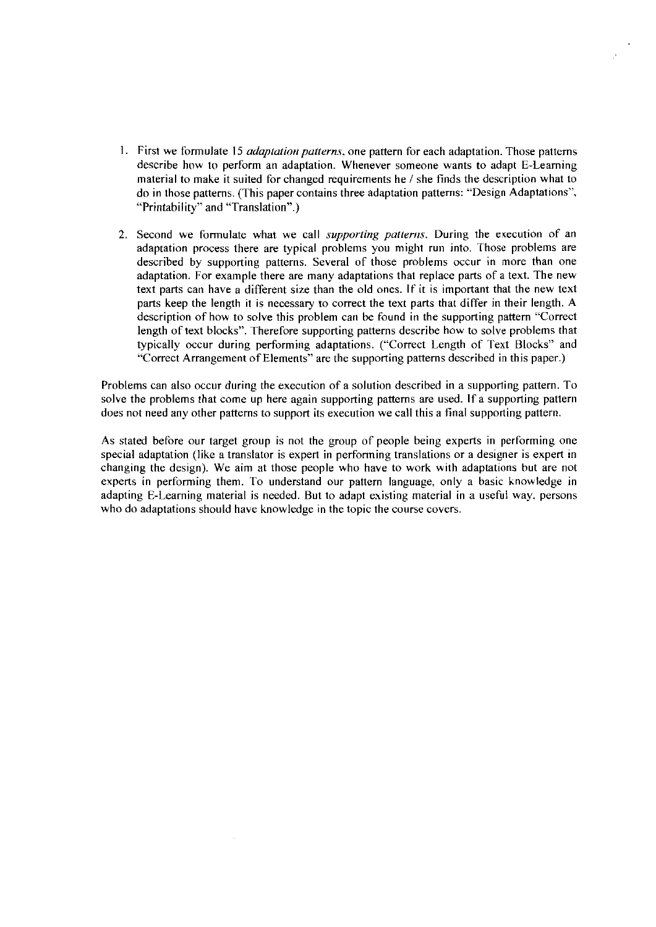- 1. First we formulate 15 *adaptation patterns*, one pattern for each adaptation. Those patterns describe how to perform an adaptation. Whenever someone wants to adapt E-Learning material to make it suited for changed requirements he / she finds the description what to do in those patterns. (This paper contains three adaptation patterns: "Design Adaptations", "Printability" and "Translation".)
- 2. Second we formulate what we call *supporting patterns*. During the execution of an adaptation process there are typical problems you might run into. Those problems are described by supporting patterns. Several of those problems occur in more than one adaptation. For example there are many adaptations that replace parts of a text. The new text parts can have a different size than the old ones. If it is important that the new text parts keep the length it is necessary to correct the text parts that differ in their length. A description of how to solve this problem can be found in the supporting pattern "Correct length of text blocks". Therefore supporting patterns describe how to solve problems that typically occur during performing adaptations. ("Correct Length of Text Blocks" and "Correct Arrangement of Elements" are the supporting patterns described in this paper.)

Problems can also occur during the execution of a solution described in a supporting pattern. To solve the problems that come up here again supporting patterns are used. If a supporting pattern does not need any other patterns to support its execution we call this a final supporting pattern.

As stated before our target group is not the group of people being experts in performing one special adaptation (like a translator is expert in performing translations or a designer is expert in changing the design). We aim at those people who have to work with adaptations but are not experts in performing them. To understand our pattern language, only a basic knowledge in adapting E-Learning material is needed. But to adapt existing material in a useful way, persons who do adaptations should have knowledge in the topic the course covers.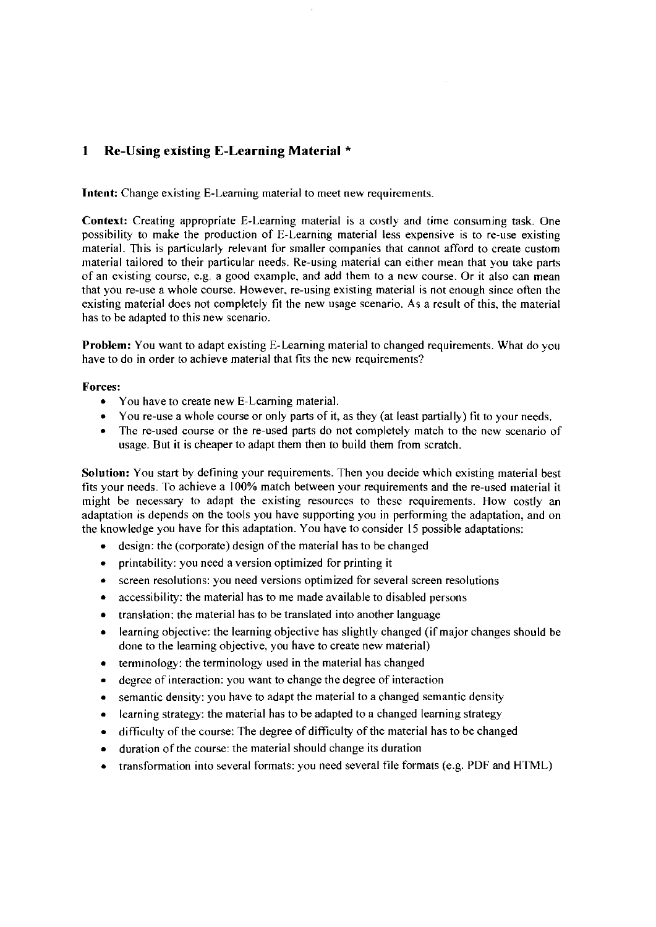# **1 Re-Using existing E-Learning Material** \*

Intent: Change existing E-Learning material to meet new requirements.

Context: Creating appropriate E-Learning material is a costly and time consuming task. One possibility to make the production of E-Learning material less expensive is to re-use existing material. This is particularly relevant for smaller companies that cannot afford to create custom material tailored to their particular needs. Re-using material can either mean that you take parts of an existing course, e.g. a good example, and add them to a new course. Or it also can mean that you re-use a whole course. However, re-using existing material is not enough since often the existing material does not completely fit the new usage scenario. As a result of this, the material has to be adapted to this new scenario.

Problem: You want to adapt existing E-Learning material to changed requirements. What do you have to do in order to achieve material that fits the new requirements?

#### Forces:

- You have to create new E-Learning material.
- You re-use a whole course or only parts of it, as they (at least partially) fit to your needs.
- The re-used course or the re-used parts do not completely match to the new scenario of usage. But it is cheaper to adapt them then to build them from scratch.

Solution: You start by defining your requirements. Then you decide which existing material best fits your needs. To achieve a 100% match between your requirements and the re-used material it might be necessary to adapt the existing resources to these requirements. How costly an adaptation is depends on the tools you have supporting you in performing the adaptation, and on the knowledge you have for this adaptation. You have to consider **15** possible adaptations:

- design: the (corporate) design of the material has to be changed  $\bullet$
- printability: you need a version optimized for printing it  $\bullet$
- $\bullet$ screen resolutions: you need versions optimized for several screen resolutions
- accessibility: the material has to me made available to disabled persons  $\bullet$
- $\bullet$ translation: the material has to be translated into another language
- learning objective: the learning objective has slightly changed (if major changes should be  $\bullet$ done to the learning objective, you have to create new material)
- terminology: the terminology used in the material has changed  $\bullet$
- degree of interaction: you want to change the degree of interaction  $\bullet$
- semantic density: you have to adapt the material to a changed semantic density  $\bullet$
- learning strategy: the material has to be adapted to a changed learning strategy  $\bullet$
- difficulty of the course: The degree of difficulty of the material has to be changed  $\bullet$
- duration of the course: the material should change its duration  $\bullet$
- $\bullet$ transformatiori irito several formats: you need several file formats (e.g. PDF and HTML)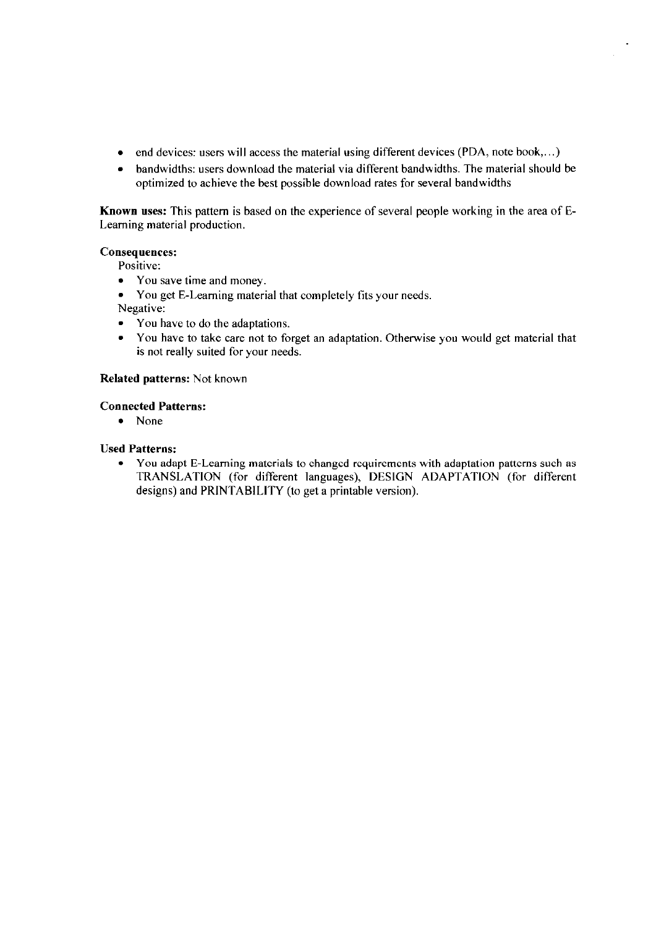- end devices: users will access the material using different devices (PDA, note book,...)
- bandwidths: users download the material via different bandwidths. The material should be  $\bullet$  . optimized to achieve the best possible download rates for several bandwidths

Known uses: This pattern is based on the experience of several people working in the area of E-Learning material production.

### **Consequences:**

- Positive:
- You save time and money.  $\bullet$
- You get E-Learning material that completely fits your needs.
- Negative:
- You have to do the adaptations.  $\bullet$
- You have to take care not to forget an adaptation. Otherwise you would get material that  $\bullet$ is not really suited for your needs.

### Related patterns: Not known

#### **Connected Patterns:**

 $\bullet$  None

### **Used Patterns:**

• You adapt E-Learning materials to changed requirements with adaptation patterns such as TRANSLATION (for different languages), DESIGN ADAPTATION (for different designs) and PRINTABILITY (to get a printable version).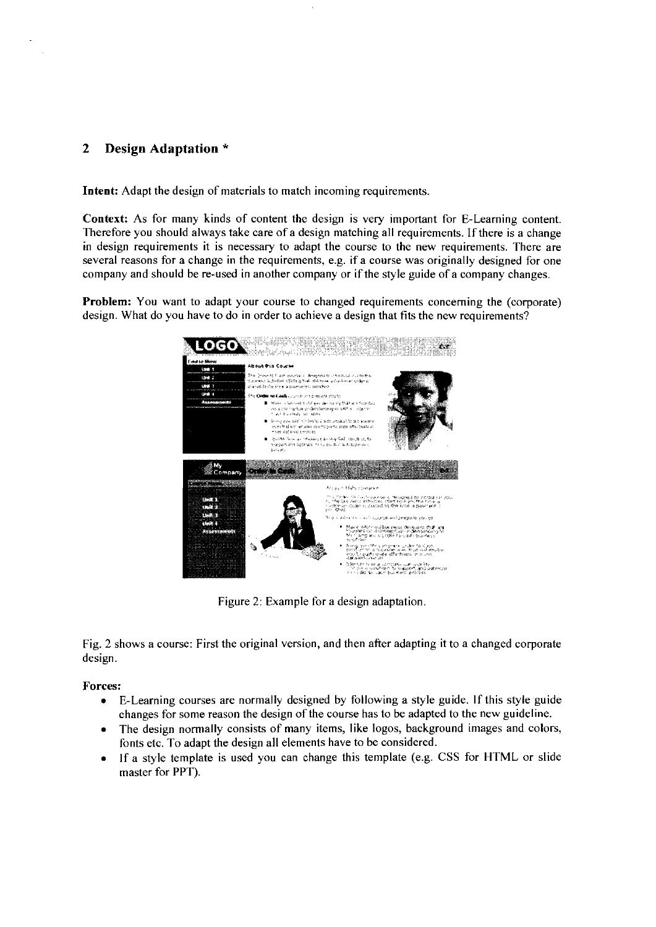# **2 Design Adaptation** \*

**Intent:** Adapt the design of materials to match incoming requirements.

**Context:** As for many kinds of content the design is very important for E-Learning content. Therefore you should always take care of a design matching all requirements. If there is a change in design requirements it is necessary to adapt the course to the new requirements. There are several reasons for a change in the requirements, e.g. if a course was originally designed for one company and should be re-used in another company or if the style guide of a company changes.

**Problem:** You want to adapt your course to changed requirements concerning the (corporate) design, What do you have to do in order to achieve a design that fits the new requirements?



Figure 2: Example for a design adaptation

Fig. 2 shows a course: First the original version, and then after adapting it to a changed corporate design.

# **Forces:**

- E-Learning Courses are normally designed by following a style guide. If this style guide changes for some reason the design of the course has to be adapted to the new guideline.
- The design normally consists of many items, like logos, background images and colors,  $\bullet$ fonts etc. To adapt the design all elements have to be considered.
- If a style template is used you can change this template (e.g. CSS for HTML or slide  $\bullet$ master for PPT).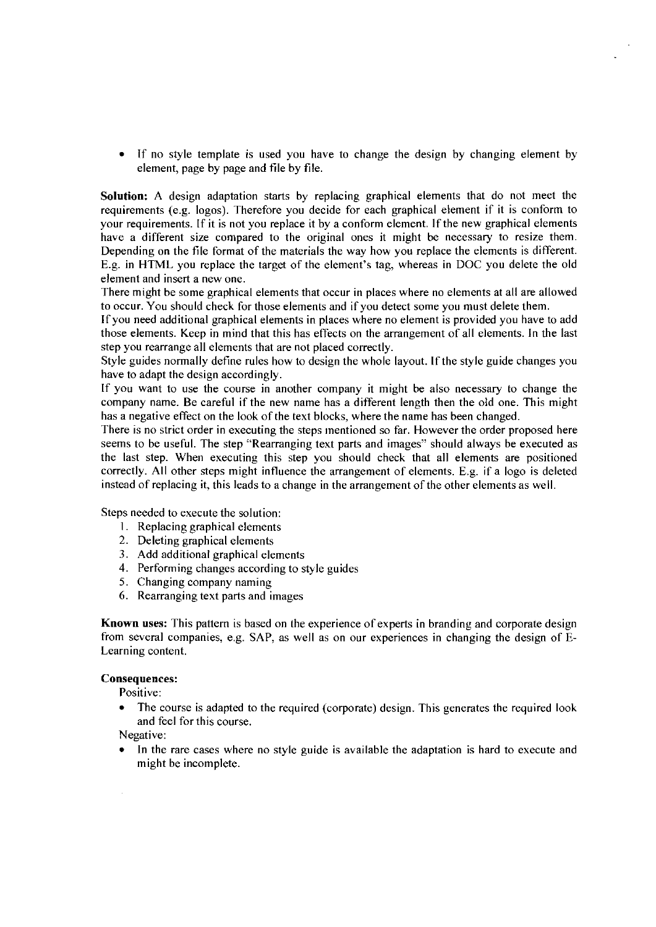$\bullet$ If no style template is used you have to change the design by changing element by element, page by page and file by file.

Solution: A design adaptation starts by replacing graphical elements that do not meet the requirements (e.g. logos). Therefore you decide for each graphical element if it is conform to your requirements. If it is not you replace it by a conform element. If the new graphical elements have a different size compared to the original ones it might be necessary to resize them. Depending on the tile format of the materials the way how you replace the elements is different. E.g. in HTML you replace the target of the element's tag, whereas in DOC you delete the old element and insert a new one.

There might be some graphical elements that occur in places where no elements at all are allowed to occur. You should check for those elements and if you detect some you must delete them.

lf you need additional graphical elements in places where no element is provided you have to add those elements. Keep in mind that this has effects on the arrangement of all elements. In the last step you rearrange all elements that are not placed correctly.

Style guides normally detine rules how to design the whole layout. lf the style guide changes you have to adapt the design accordingly.

If you Want to use the course in another company it might be also necessary to change the company name. Be careful if the new name has a different length then the old one. This might has a negative effect on the look of the text blocks, where the name has been changed.

There is no strict order in executing the steps mentioned so far. However the order proposed here seems to be useful. The step "Rearranging text parts and images" should always be executed as the last step. When executing this step you should check that all elements are positioned correctly. All other steps might influence the arrangement of elements. E.g. if a logo is deleted instead of replacing it, this leads to a change in the arrangement of the other elements as weil.

Steps needed to execute the solution:

- **1.** Replacing graphical elements
- 2. Deleting graphical elements
- 3. Add additional graphical elements
- 4. Performing changes according to style guides
- 5. Changing company naming
- 6. Rearranging text parts and images

Known uses: This pattern is based on the experience of experts in branding and corporate design from several companies, e.g. SAP, as well as on our experiences in changing the design of E-Learning content.

#### Consequences:

Positive:

The course is adapted to the required (corporate) design. This generates the required look and feel for this course.

Negative:

 $\cdot$ 

In the rare cases where no style guide is available the adaptation is hard to execute and might be incomplete.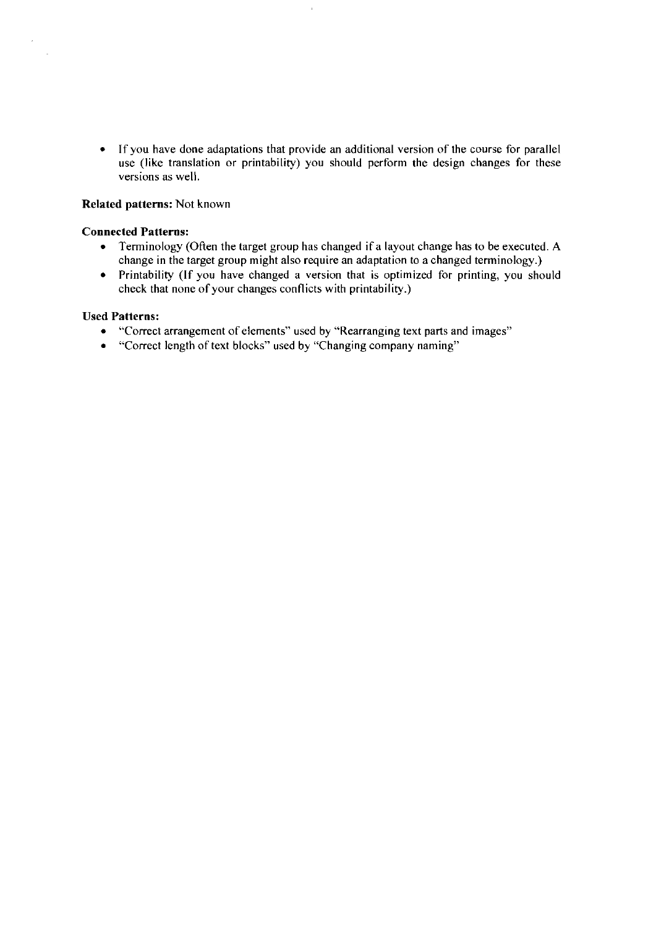If you have done adaptations that provide an additional version of the Course for parallel use (like translation or printability) you should perform the design changes for these versions as well.

### Related patterns: Not known

#### Connected Patterns:

 $\bar{z}$ 

- $\bullet$ Teminology (Often the target group has changed if a layout change has to be executed. A change in the target group might also require an adaptation to a changed terminology.)
- Printability (If you have changed a version that is optimized for printing, you should check that none of your changes conflicts with printability.)

#### Used Patterns:

- 'Torrect arrangement of elements" used by "Rearranging text parts and images"
- "Correct length of text blocks" used by "Changing company naming"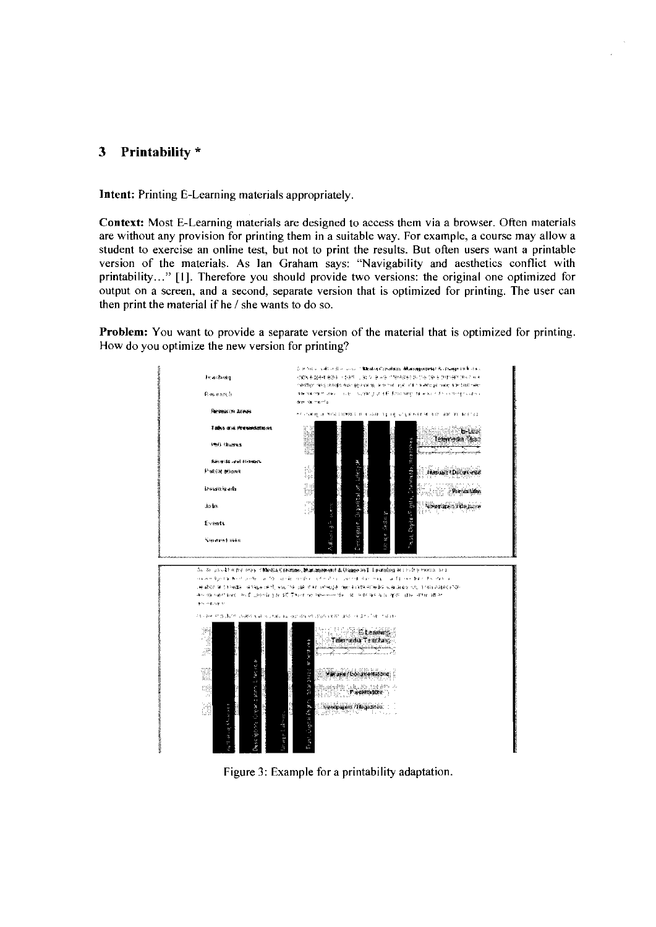#### $\mathbf{3}$ Printability \*

Intent: Printing E-Learning materials appropriately.

Context: Most E-Learning materials are designed to access them via a browser. Often materials are without any provision for printing them in a suitable way. For example, a course may allow a student to exercise an online test, but not to print the results. But often users want a printable version of the materials. As Ian Graham says: "Navigability and aesthetics conflict with printability..." [1]. Therefore you should provide two versions: the original one optimized for output on a screen, and a second, separate version that is optimized for printing. The user can then print the material if he / she wants to do so.

**Problem:** You want to provide a separate version of the material that is optimized for printing. How do you optimize the new version for printing?



Figure 3: Example for a printability adaptation.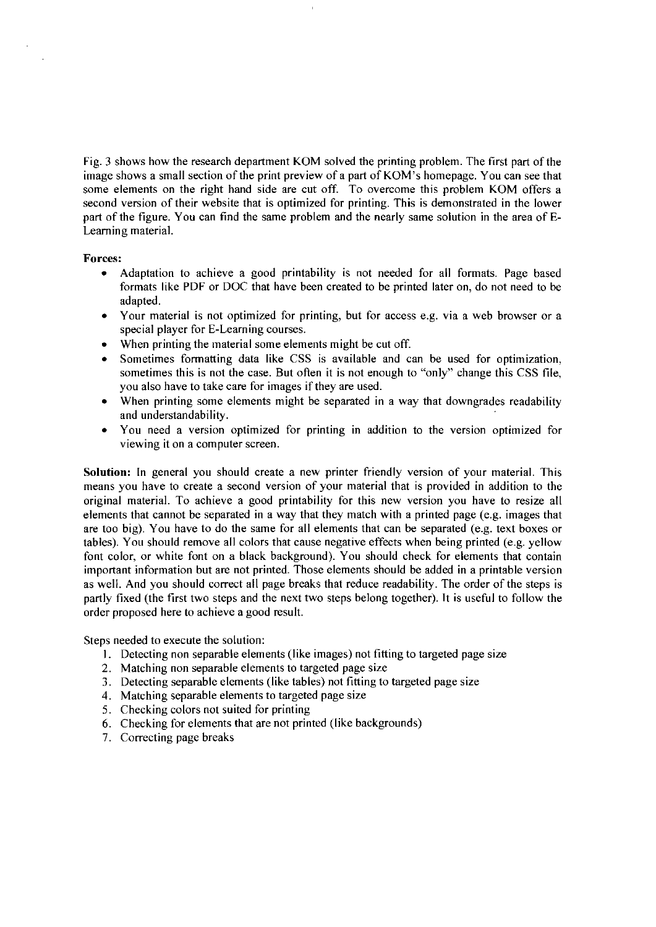Fig. **3** shows how the research departrnent KOM solved the printing problern. The first part of the image shows a srnall section of the print preview of a part of KOM's hornepage. You can see that some elements on the right hand side are cut off. To overcome this problem KOM offers a second version of their website that is optimized for printing. This is dernonstrated in the lower part of the figure. You can find the sarne problern and the nearly same solution in the area of **E-**Learning material.

#### **Forces:**

- Adaptation to achieve a good printability is not needed for all formats. Page based  $\bullet$ formats like PDF or DOC that have been created to be printed later on, do not need to be adapted.
- Your material is not optimized for printing, but for access e.g. via a web browser or a special player for E-Learning courses.
- When printing the material some elements might be cut off.
- Sometimes formatting data like CSS is available and can be used for optimization, sometimes this is not the case. But often it is not enough to "only" change this CSS file, you also have to take care for images if they are used.
- When printing some elements might be separated in a way that downgrades readability  $\bullet$ and understandability.
- You need a version optimized for printing in addition to the version optimized for viewing it on a computer screen.

**Solution:** In general you should create a new printer friendly version of your material. This rneans you have to create a second version of your material that is provided in addition to the original material. To achieve a good printability for this new version you have to resize all elements that cannot be separated in a way that they match with a printed page (e.g. images that are too big). You have to do the sarne for all elernents that can be separated (e.g. text boxes or tables). You should remove all colors that cause negative effects when being printed (e.g. yellow font color, or white font on a black background). You should check for elernents that contain important inforrnation but are not printed. Those elernents should be added in a printable version as well. And you should correct all page breaks that reduce readability. The order of the steps is partly fixed (the first two steps and the next two steps belong together). It is useful to follow the order proposed here to achieve a good result.

Steps needed to execute the solution:

- 1. Detecting non separable elements (like images) not fitting to targeted page size
- 2. Matching non separable elements to targeted page size
- 3. Detecting separable elements (like tables) not fitting to targeted page size
- 4. Matching separable elements to targeted page size
- 5. Checking colors not suited for printing
- 6. Checking for elements that are not printed (like backgrounds)
- 7. Correcting page breaks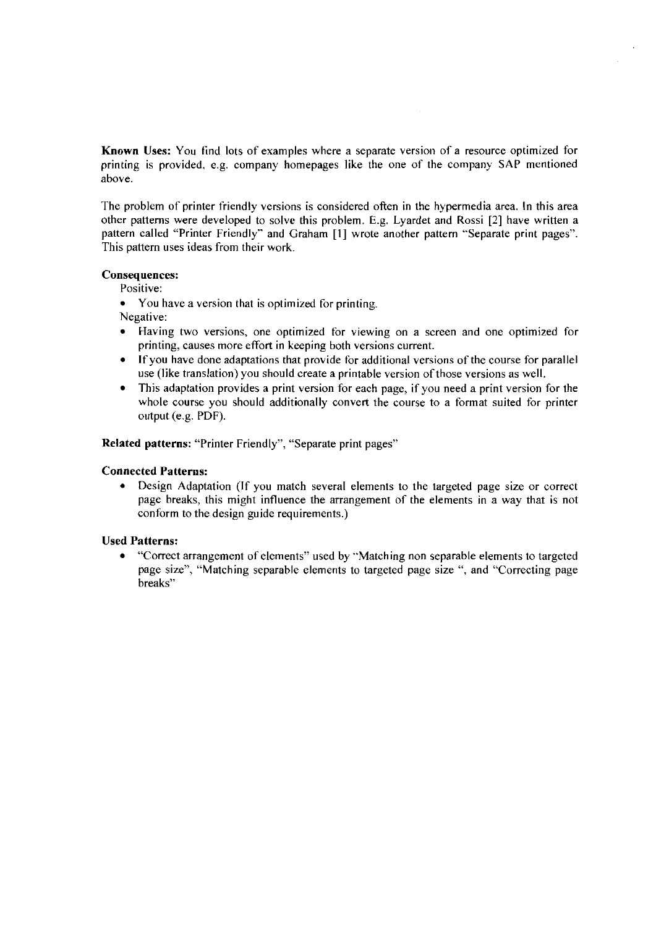Known Uses: You find lots of examples where a separate version of a resource optimized for printing is provided. e.g. company homepages like the one of the company SAP mentioned above.

The problem of printer friendly versions is considered often in the hypermedia area. In this area other patterns were developed to solve this problem. E.g. Lyardet arid Rossi [2] have written a pattern called "Printer Friendly" and Graham [I] wrote another pattern "Separate print pages". This pattern uses ideas from their work.

#### Consequences:

Positive:

• You have a version that is optimized for printing.

Negative:

- Having two versions, one optimized for viewing on a screen and one optimized for printing, causes more effort in keeping both versions current.
- If you have done adaptations that provide for additional versions of the course for parallel  $\bullet$ use (like translation) you should create a printable version of those versions as well.
- This adaptation provides a print version for each page, if you need a print version for the whole course you should additionally convert the course to a format suited for printer output (e.g. PDF).

Related patterns: "Printer Friendly", "Separate print pages"

# Connected Patterns:

 $\bullet$ Design Adaptation (If you match several elements to the targeted page size or correct page breaks, this might influence the arrangement of the elements in a way that is not conform to the design guide requirements.)

### Used Patterns:

"Correct amangement of elements" used by "Matching non separable elements to targeted page size", "Matching separable elements to targeted page size ", and "Correcting page breaks"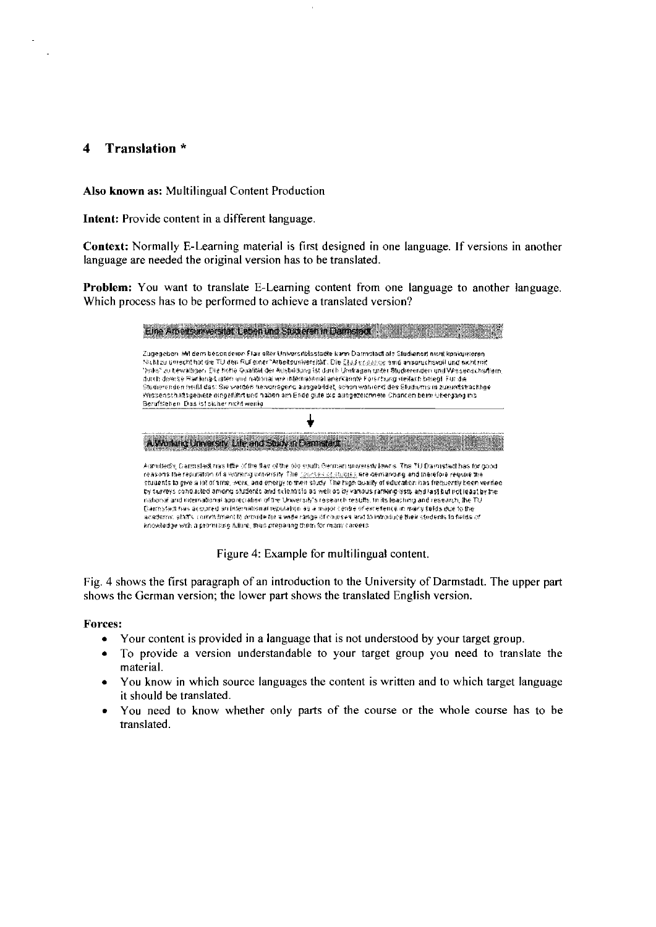#### Translation \*  $\overline{\mathbf{4}}$

Also known as: Multilingual Content Production

Intent: Provide content in a different language.

Context: Normally E-Learning material is first designed in one language. If versions in another language are needed the original version has to be translated.

Problem: You want to translate E-Learning content from one language to another language. Which process has to be performed to achieve a translated version?

|                                          | книжани і вберимі анвегенні ізп                                                                                                                                                                                                                                                                                                                                                                                                                                                                                                                                                                                                                                                                                                                                                                                                                                                                                                               |
|------------------------------------------|-----------------------------------------------------------------------------------------------------------------------------------------------------------------------------------------------------------------------------------------------------------------------------------------------------------------------------------------------------------------------------------------------------------------------------------------------------------------------------------------------------------------------------------------------------------------------------------------------------------------------------------------------------------------------------------------------------------------------------------------------------------------------------------------------------------------------------------------------------------------------------------------------------------------------------------------------|
| Berafstehen, Das ist sicher nicht wenig- | Zugegeben, Mit dem besonderen Flair aller Universitetsslache kann Darmstadt als Studienort nicht konkurrieren,<br>Nacht zu unnecht hat der 70 den Rul einer "Arbeksunwersität". Die Skad graande eine anspruchsvoll und nicht mit<br>"haks" zu bewalligen. Die hund Guallin der Ausbücknig ist durch Urnbagen unter Studierenden und Vessenschaftern<br>durch deverse Reninna-Listen und national wie infernational anerkannte Forschung viellach belegt. Für die<br>Studierenden heißt das: Sie weiden hervorrageno ausgebildet, schon wahiend des Studiumis in zukündstrachhoel<br>Wissenschaftsgebiete eingeführt und haben am Ende quie wa ausgezoichneite Chancen beim Uhergang ins                                                                                                                                                                                                                                                      |
|                                          |                                                                                                                                                                                                                                                                                                                                                                                                                                                                                                                                                                                                                                                                                                                                                                                                                                                                                                                                               |
|                                          | ang Linversity. Life and Study in Darmstadt                                                                                                                                                                                                                                                                                                                                                                                                                                                                                                                                                                                                                                                                                                                                                                                                                                                                                                   |
|                                          | Aistriffediy, Darmstadt mas liffe of the flav of the bils south berman university lowns The TU Darmstadt has for good.<br>reasons the reputation of a working university. The <u>roomses or studies</u> are demanding and therefore registre the<br>students to give a lot of arre, work, and energy to their shofy. The high quality of education has frequently been verified.<br>by surveys conducted among students and scientists as well as by vanous ranking-lists and last but not least by the<br>national and international appreciation of the University's research testifis, in its teaching and research, the TU<br>(Can'nytad) has acquired an infernational reputation as a major centre of excenting in many fields due to the<br>academic staffs communication of the foll a wide range of courses and to infroduce their students to belds of<br>knowledge with a promising fullise, thus preparing them for many careers. |

Figure 4: Example for multilingual content.

Fig. 4 shows the first paragraph of an introduction to the University of Darmstadt. The upper part shows the German version; the lower part shows the translated English version.

#### **Forces:**

- Your content is provided in a language that is not understood by your target group.
- To provide a version understandable to your target group you need to translate the  $\bullet$ material.
- You know in which source languages the content is written and to which target language  $\bullet$ it should be translated.
- You need to know whether only parts of the course or the whole course has to be  $\bullet$ translated.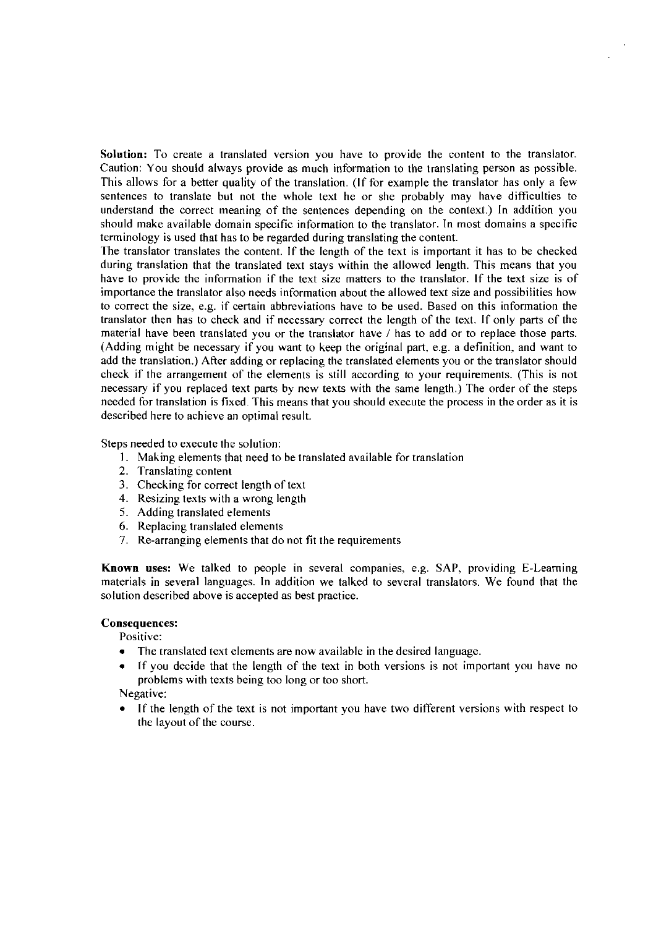Solution: To create a translated version you have to provide the content to the translator. Caution: You should always provide as much information to the translating person as possible. This allows for a better quality of the translation. (If for example the translator has only a few sentences to translate but not the whole text he or she probably may have difficulties to understand the correct meaning of the sentences depending on the context.) In addition you should make available domain specific information to the translator. In most domains a specific terminology is used that has to be regarded during translating the content.

The translator translates the content. If the length of the text is important it has to be checked during translation that the translated text stays within the allowed length. This means that you have to provide the information if the text size matters to the translator. If the text size is of importance the translator also needs information about the allowed text size and possibilities how to correct the size, e.g. if certain abbreviations have to be used. Based on this information the translator then has to check and if necessary correct the length of the text. If only parts of the material have been translated you or the translator have / has to add or to replace those parts. (Adding might be necessary if you Want to keep the original part, e.g. a definition, and Want to add the translation.) After adding or replacing the translated elements you or the translator should check if the arrangement of the elements is still according to your requirements. (This is not necessary if you replaced text parts by new texts with the Same length.) The order of the steps needed for translation is fixed. This means that you should execute the process in the order as it is described here to achieve an optimal result.

Steps needed to execute the solution:

- **1.** Mahing elements that need to be translated available for translation
- 2. Translating content
- 3. Checking for correct length of text
- 4. Resizing texts with a wrong length
- 5. Adding translated elements
- 6. Replacing translated elements
- 7. Re-arranging elements that do not fit the requirements

Known uses: We talked to people in several companies, e.g. SAP, providing E-Learning materials in several languages. In addition we talked to several translators. We found that the solution described above is accepted as best practice.

#### Consequences:

Positive:

- $\bullet$ The translated text elements are now available in the desired language.
- If you decide that the length of the text in both versions is not important you have no problems with texts being too long or too short.

#### Negative:

If the length of the text is not important you have two different versions with respect to the layout of the course.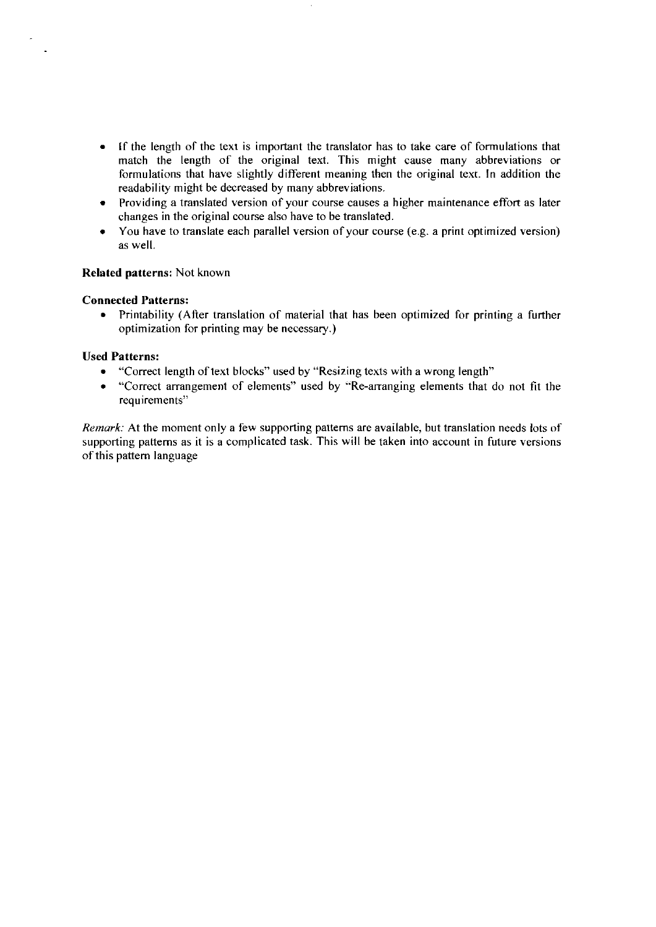- If the length of the text is important the translator has to take care of formulations that  $\bullet$ match the length of the original text. This might cause many abbreviations or formulations that have slightly different meaning then the original text. In addition the readability might be decreased by many abbreviations.
- Providing a translated version of your course causes a higher maintenance effort as later changes in the original course also have to be translated.
- You have to translate each parallel version of your course (e.g. a print optimized version) as well.

#### **Related patterns:** Not known

#### **Connected Patterns:**

Printability (After translation of material that has been optimized for printing a further  $\bullet$ optimization for printing may be necessary.)

#### **Used Patterns:**

- "Correct length of text blocks" used by "Resizing texts with a wrong length"
- $\bullet$ "Correct arrangement of elements" used by "Re-arranging elements that do not fit the requirements"

*Remark:* At the moment only a few supporting patterns are available, but translation needs lots of supporting patterns as it is a complicated task. This will be taken into account in future versions of this pattern language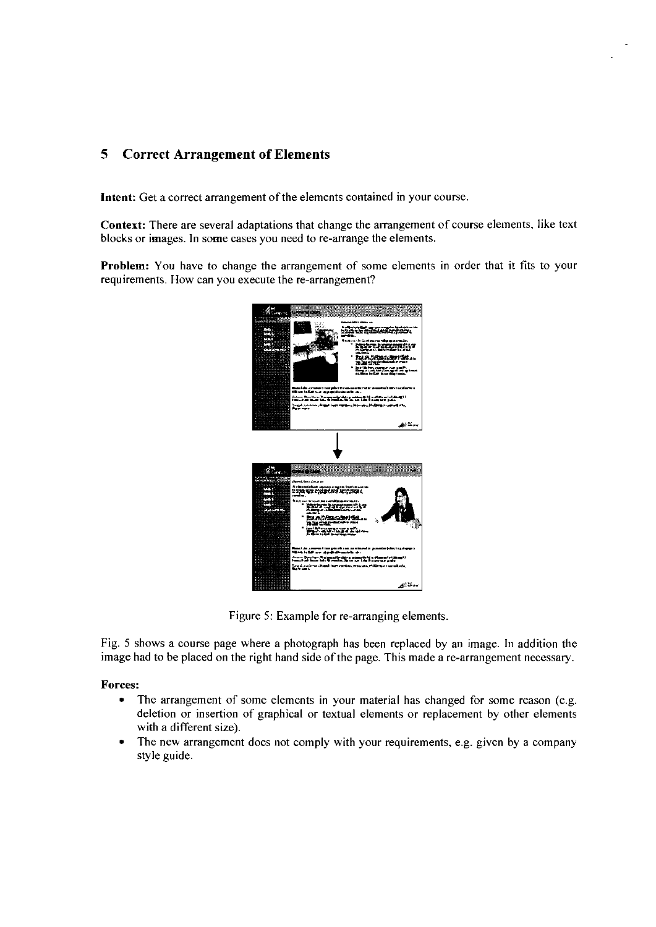# **5 Correct Arrangement of Elements**

Intent: Get a correct arrangement of the elements contained in your course.

Context: There are several adaptations that change the arrangement of course elements, like text blocks or images. In some cases you need to re-arrange the elements.

Problem: You have to change the arrangement of some elements in order that it fits to your requirements. How can you execute the re-arrangement?



Figure 5: Example for re-arranging elements.

Fig. 5 shows a course page where a photograph has been replaced by an image. In addition the image had to be placed on the right hand side of the page. This made a re-arrangement necessary.

#### Forces:

- The arrangement of some elements in your material has changed for some reason (e.g.  $\bullet$ deletion or insertion of graphical or textual elements or replacement by other elements with a different size).
- $\bullet$ The new arrangement does not comply with your requirements, e.g. given by a company style guide.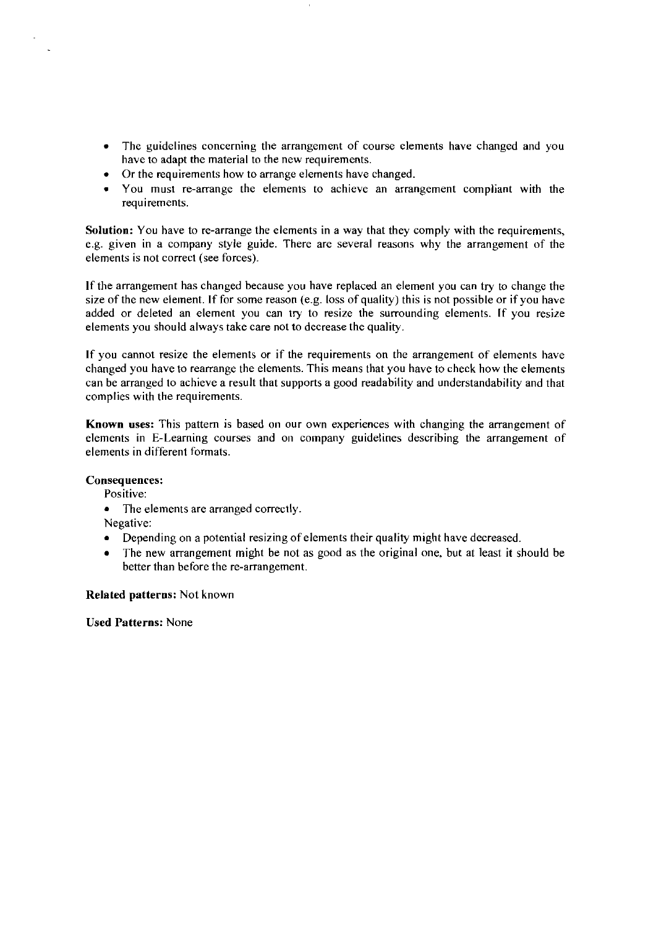- The guidelines concerning the arrangement of course elements have changed and you  $\bullet$ have to adapt the material to the new requirements.
- Or the requirements how to arrange elements have changed.
- You must re-arrange the elements to achieve an arrangement compliant with the requirements.

Solution: You have to re-arrange the elements in a way that they comply with the requirements, e.g. given in a company style guide. There are several reasons why the arrangement of the elements is not correct (see forces).

If the arrangement has changed because you have replaced an element you can try to change the size of the new element. If for some reason (e.g. loss of quality) this is not possible or if you have added or deleted an element you can try to resize the surrounding elements. If you resire elements you should always take care not to decrease the quality.

If you cannot resize the elements or if the requirements on the arrangement of elements have changed you have to rearrange the elements. This means that you have to check how the elements can be arranged to achieve a result that supports a good readability and understandability and that complies with the requirements.

Known uses: This pattern is based on our own experiences with changing the arrangement of elements in E-Learning courses and on company guidelines describing the arrangement of elements in different formats.

### Consequences:

Positive:

- The elements are arranged correctly.
- Negative:
- Depending on a potential resizing of elements their quality might have decreased.
- The new arrangement might be not as good as the original one. but at least it should be better than before the re-arrangement.

Related patterns: Not known

Used Patterns: None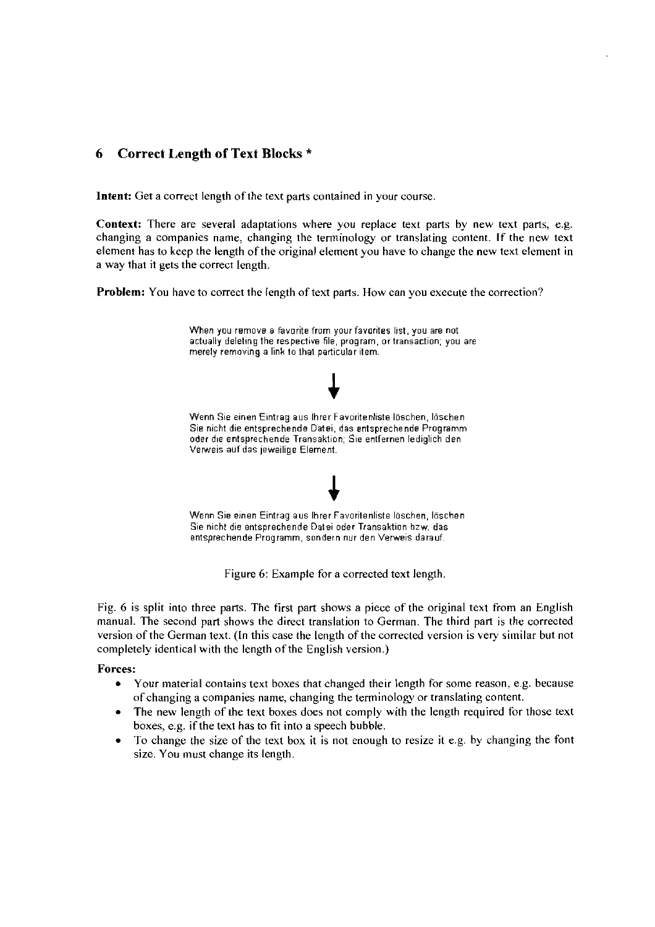# *6* **Correct Length of Text Blocks** \*

**Intent:** Get a correct length of the text parts contained in your course.

Context: There are several adaptations where you replace text parts by new text parts, e.g. changing a companies name, changing the tenninology or translating content. If the new text element has to keep the length of the original element you have to change the new text element in a way that it gets the correct length.

**Problem:** You have to correct the length of text parts. How can you execute the correction?



Figure 6: Example for a corrected text length.

Fig. 6 is split into three parts. The first part shows a piece of the original text from an English manual. The second part shows the direct translation to German. The third part is the corrected version of the German text. (In this case the length of the corrected version is very similar but not completely identical with the length of the English version.)

#### **Forces:**

- Your material contains text boxes that changed their length for some reason, e.g. because of changing a companies name, changing the terminology or translating content.
- The new length of the text boxes does not comply with the length required for those text boxes, e.g. if the text has to fit into a speech bubble.
- To change the size of the text box it is not enough to resize it e.g. by changing the font size. You must change its length.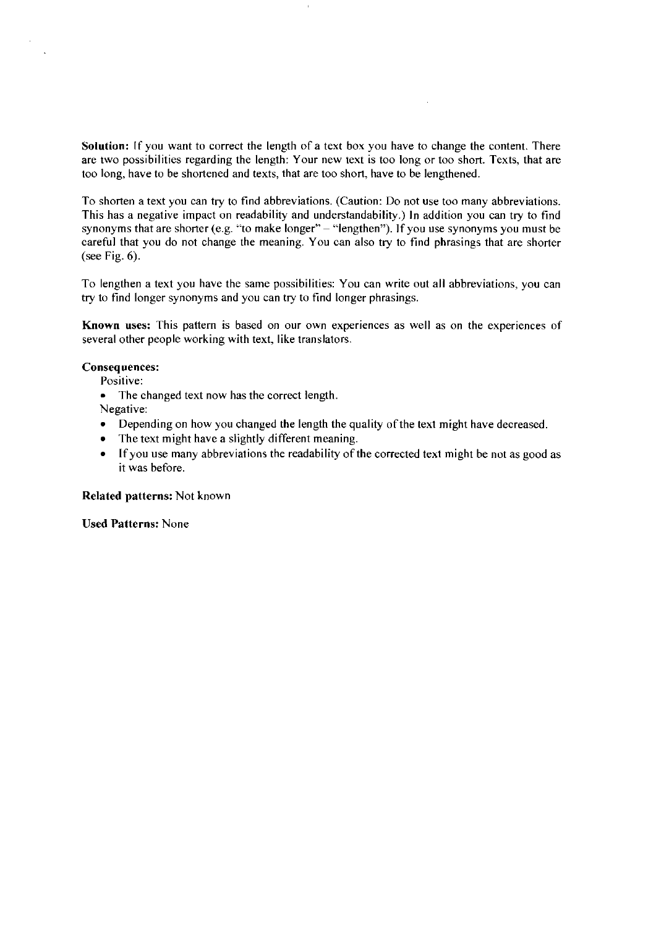Solution: If you want to correct the length of a text box you have to change the content. There are two possibilities regarding the length. Your new text is too long or too short. Texts, that are too long, have to be shortened and texts, that are too short, have to be lengthened.

To shorten a text you can try to find abbreviations. (Caution: Do not use too many abbreviations. This has a negative impact on readability and understandability.) In addition you can try to find synonyms that are shorter (e.g. "to make longer" - "lengthen"). If you use synonyms you must be careful that you do not change the meaning. You can also try to find phrasings that are shorter (see Fig.  $6$ ).

To lengthen a text you have the same possibilities: You can write out all abbreviations, you can try to find longer synonyms and you can try to find longer phrasings.

Known uses: This pattern is based on our own experiences as well as on the experiences of several other people working with text, like translators.

#### **Consequences:**

Positive:

 $\bullet$  The changed text now has the correct length.

Negative:

- Depending on how you changed the length the quality of the text might have decreased.
- The text might have a slightly different meaning.
- If you use many abbreviations the readability of the corrected text might be not as good as it was before.

Related patterns: Not known

**Used Patterns: None**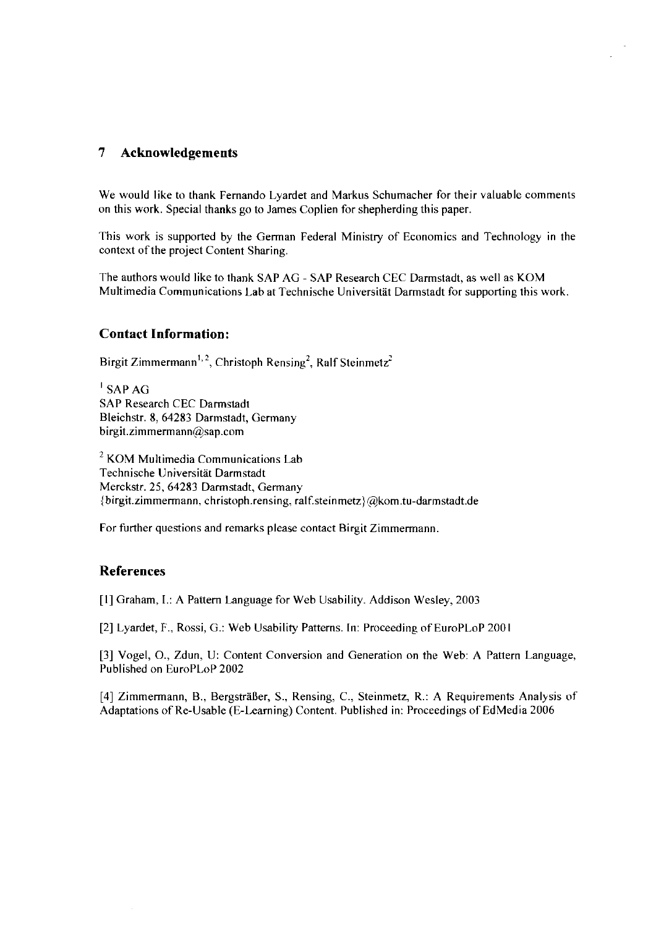## **7 Acknowledgements**

We would like to thank Fernando Lyardet and Markus Schumacher for their valuable comments on this work. Special thanks go to James Coplien for shepherding this paper.

This work is supported by the German Federal Ministry of Economics and Technology in the context of the project Content Sharing.

The authors would like to thank SAP AG - SAP Research CEC Darmstadt, as well as KOM Multimedia Communications Lab at Technische Universität Darmstadt for supporting this work.

### **Contact Information:**

Birgit Zimmermann<sup>1,2</sup>, Christoph Rensing<sup>2</sup>, Ralf Steinmetz<sup>2</sup>

 $\overline{I}$  SAP AG SAP Research CEC Darrnstadt Bleichstr. 8, 64283 Darmstadt, Gerrnany  $birgit.zimmermann@$ sap.com

 $2$  KOM Multimedia Communications Lab Technische Universität Darmstadt Merckstr. 25, 64283 Darmstadt, Germany (birgit.zimmermann, christoph.rensing, **ralf.steinmetz)@kom.tu-dariristadt.de** 

For further questions and remarks please contact Birgit Zimmermann

## **References**

[1] Graham, I.: A Pattern Language for Web Usability. Addison Wesley, 2003

[2] Lyardet, F., Rossi, G.: Web Usability Patterns. In: Proceeding of EuroPLoP 2001

[3] Vogel, O., Zdun, U: Content Conversion and Generation on the Web: **A** Pattern Language, Published on EuroPLoP 2002

[4] Zimmermann, B., Bergsträßer, S., Rensing, C., Steinmetz, R.: A Requirements Analysis of Adaptations of Re-Usable (E-Learning) Content. Published in: Proceedings of EdMedia 2006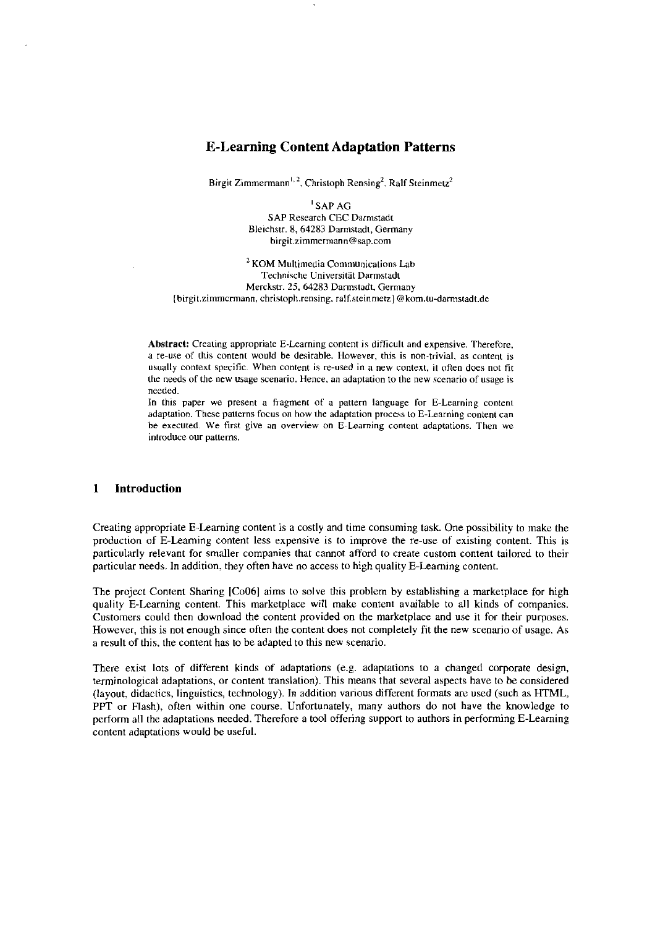#### **E-Learning Content Adaptation Patterns**

Birgit Zimmermann<sup>1, 2</sup>, Christoph Rensing<sup>2</sup>, Ralf Steinmetz<sup>2</sup>

I SAP AG SAP Research CEC Darnistadt Bleichstr. **8, 64283** Darnistadt, Gerrnany birgit.zimmermann@sap.com

 $2$  KOM Multimedia Communications Lab Technische Universität Darmstadt Merckstr. 25, 64283 Darmstadt, Germany [birgit.zirnmcrmann, christoph.rensing. ralfsteinnietz) @kom.tu-darmstadt.de

Abstract: Creating appropriate E-Learning content is difficult and expensive. Therefore, a re-use of this content would **be** desirable. Howevsr, this is non-trivial, as content is usually context specific. When content is re-used in a new context, it often does not fit the needs of the new usage scenario. Hence. an adaptation to the new scenario of usage is needed.

In this paper we present a fragment of a pattern language for E-Learning content adaptation. These patterns focus on how the adaptation process to E-Learning content can be executed. We first give an overview on E-Learning content adaptations. Then we introduce our patterns.

#### **1 lntroduction**

Creating appropriate E-Leaming content is a costly and time consuming task. One possibility to make the production of E-Leaming content less expensive is to improve the re-use of existing content. This is particularly relevant for smaller companies that cannot afford 10 create custom content tailored to their particular needs. In addition, they often have no access to high quality E-Leaming content.

The project Content Sharing [Co06] aims to solve this problem by establishing a marketplace for high quality E-Learning content. This marketplace will make content available to all kinds of companies. Customers could then download the content provided on the marketplace and use it for their purposes. However, this is not enough since oflen lhe content does not completely fit the new scenario of usage. As a result of this, the content has tobe adapted to this new scenario.

There exist lots of different kinds of adaptations (e.g. adaptations to a changed corporate design, terminological adaptations. or content translation). This means that several aspects have to be considered (layout, didactics, linguistics, technology). In addition various different formats are used (such as HTML, PPT or Flash), often within one Course. Unfortunately, many authors do not have the knowledge to perform all the adaptations needed. Therefore a tool offering supporl to authors in performing E-Learning content adaptations would be useful.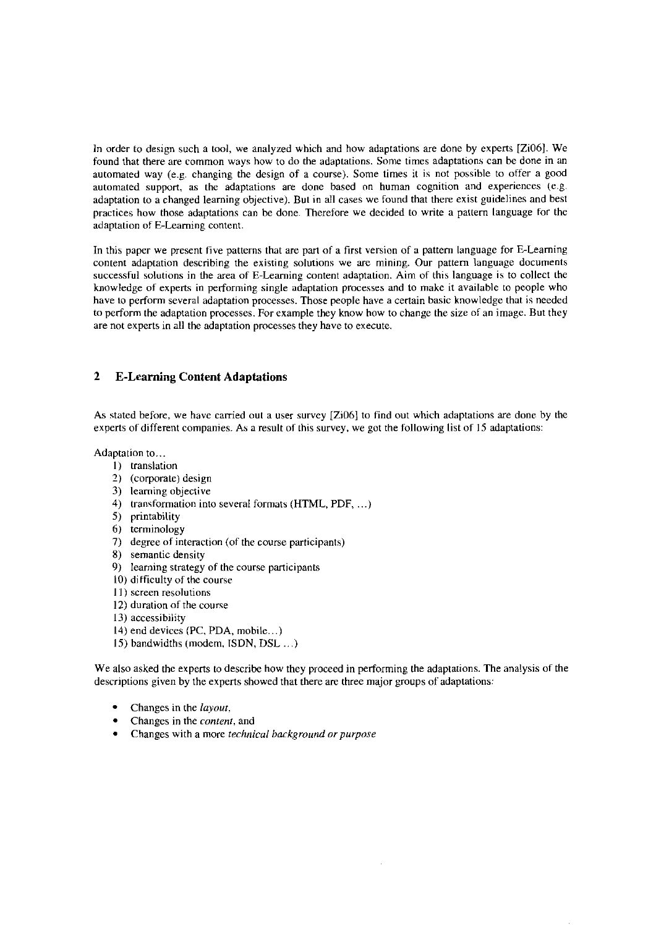In order to design such a tool, we analyzed which and how adaptations are done by experts [Zi06]. We found that there are common ways how to do the adaptations. Some times adaptations can be done in an automated way (e.g. changing the design of a course). Some times it is not possible to offer a good automated support, as the adaptations are done based on human cognition and expenences (e.g. adaptation to a changed learning objective). But in all cases we found that there exist guidelines and best practices how those adaptations can be done. Therefore we decided to write a pattern language for the adaptation of E-Learning content.

In this paper we present five patterns that are part of a first version of a pattern language for E-Learning content adaptation describing the existing solutions we are mining. Our pattern language documents successful solutions in the area of E-Leaming content adaptation. Aim of this language is to collect the knowledge of experts in performing single adaptation processes and to make it available to people who have to perform several adaptation processes. Those people have a certain basic knowledge that is needed to perform the adaptation processes. For example they know how to change the size of an image. But they are not experts in all the adaptation processes they have to execute.

#### **2 E-Learning Content Adaptations**

As stated before, we have carried out a user survey [Zi06] to find out which adaptations are done by the experts of different companies. As a result of this survey, we got the following list of 15 adaptations:

Adaptation to...

- 1) translation
- **7)** (corporate) design
- 3) learning objective
- 4) transformation into several formats (HTML, PDF, ...)
- 5) printability
- 6) terminology
- 7) degree of interaction (of the course participants)
- 8) semantic density
- 9) learning strategy of the course participants
- 10) difficulty of the course
- 11) screen resolutions
- 12) duration of the course
- 13) accessibiiity
- 14) end devices **(PC.** PDA, niobile.. .)
- 15) bandwidths (modern, TSDN, DSL . . .)

We also asked the experts to describe how they proceed in performing the adaptations. The analysis of the descriptions given by the experts showed that there are three major groups of adaptations:

- Changes in the *layout.*
- Changes in the *conterir,* and
- Changes wich a more *technical liackground urpurpose*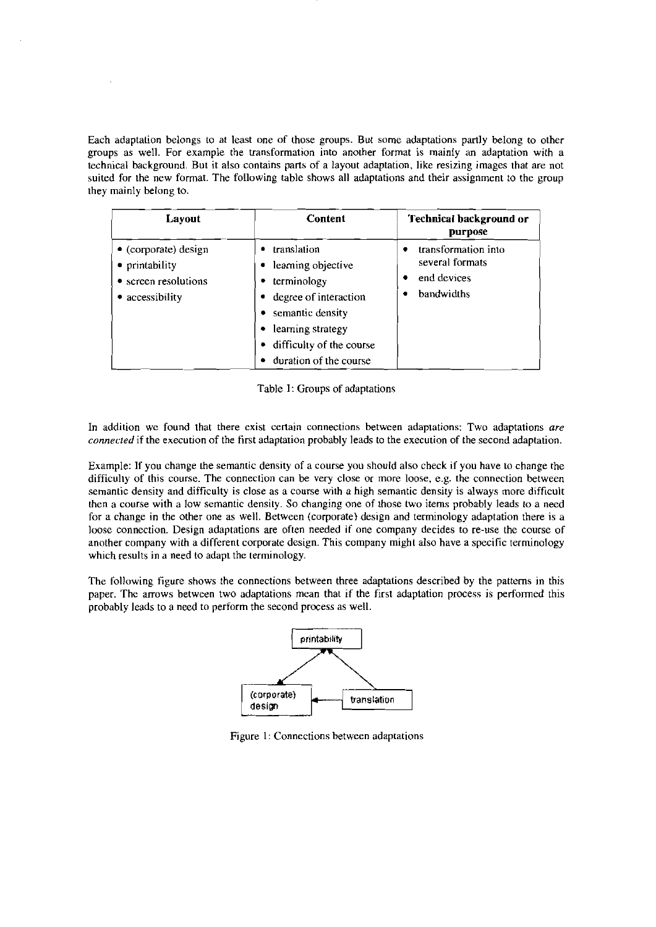Each adaptation belongs to at least one of those groups. But some adaptations partly belong to other groups as well. For example the transformation into another format is mainly an adaptation with a technical background. But it also contains parta of a layout adaptation, like resizing images that are not suited for the new format. The following table shows all adaptations and their assignment to the group they mainly belong to.

| Layout                                                                                    | <b>Content</b>                                                                                                                                                                     | Technical background or<br><b>purpose</b>                           |
|-------------------------------------------------------------------------------------------|------------------------------------------------------------------------------------------------------------------------------------------------------------------------------------|---------------------------------------------------------------------|
| $\bullet$ (corporate) design<br>• printability<br>• screen resolutions<br>• accessibility | translation<br>learning objective<br>٠<br>terminology<br>degree of interaction<br>semantic density<br>learning strategy<br>٠<br>difficulty of the course<br>duration of the course | transformation into<br>several formats<br>end devices<br>bandwidths |

Table I: Groups of adaptations

In addition we found that there exist certain connections between adaptations: Two adaptations **are connected** if the execution of the first adaptation probably leads to the execution of the second adaptation.

Example: If you change the semantic density of a course you should also check if you have to change the difficulty of this course. The connection can be very close or more loose, e.g. the connection between semantic density and difficulty is close as a course with a high semantic density is always more difficult then a course with a low semantic densily. So changing one of those two items probably leads to a need for a change in the other one as well. Between (corporate) design and terminology adaptation there is a loose connection. Design adaptations are often needed if one company decides to re-use the course of another company with a different corporate design. This company might also have a specific terminology which results in a need to adapt the terminology.

The following figure shows the connections between three adaptations described by the patterns in this Paper. The arrows between two adaptations mean that if the first adaptation process is performed this probably leads to a need to perform the second process as well.



Figure 1: Connections between adaptations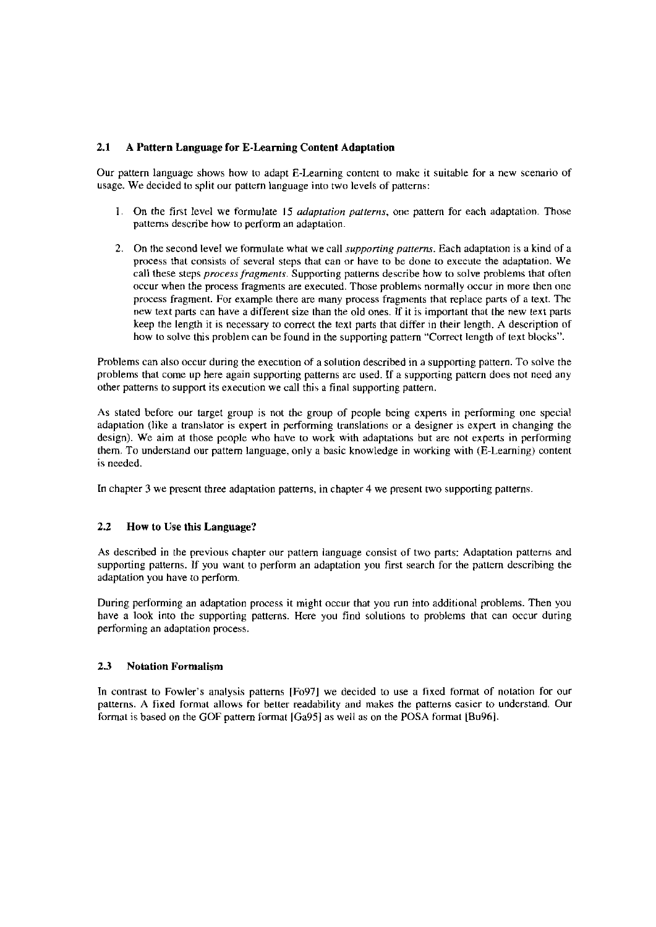#### **2.1 A** Pattern Language **for** E-Learning Content Adaptation

Our pattern language shows how to adapt E-Learning content to make it suitable for a new scenario of usage. We decided to split our pattern language into two levels of patterns:

- 1. On the first level we formulate 15 *adaptation patterns*, one pattern for each adaptation. Those patterns describe how to perform an adaptation.
- **2.** On the second level we formulate what we call *supponing patterns.* Each adaptation is a kind of a process that consists of several steps that can or have to be done to exccute the adaptation. We call these steps *process fragrnerirs.* Supporting patterns describe how to solve problems that often occur when the process fragments are executed. Those problems normally occur in more then one process fragment. For example there are niany process fragments that replace parts of a text. The riew text parts can have a different size than the old ones. If it is important that the new text parts keep the length it is necessary to correct the texl parts that difter in their length. A description of how to solve this problem can be found in the supporting pattern "Correct length of text blocks".

Problems can also occur during the execution of a solution described in a supporting pattern. To solve the problems that come up here again supporting patterns are used. If a supporting pattern does not need any other patterns to support its execution we call this a final supporting pattern.

As stated before our target group is not the group of people being experts in performing one special adaptation (like a translator is expert in performing translations or a designer is expert in changing the design). We aim at those people who have to work with adaptations but are not experts in performing them. To understand our pattem language, only a basic knowledge in working with (E-Learning) content is needed.

In chapter **3** we present three adaptation patterns, in chapter 4 we present two supporting patterns.

#### **2.2** How to Use this Language?

As described in the previous chapter our pattem language consist of two parts: Adaptation patterns and supporting patterns. If you want to perform an adaptation you first search for the patiern describing the adaptation you have to perform.

During performing an adaptation process it might occur that you run into additional problems. Then you have a look into the supporting patterns. Here you find solutions to problems that can occur during pertorniing an adaptation process.

#### 23 Notation Formalism

In contrast to Fowler's analysis patterns [F097] we decided to use a fixed format of notation for our patterns. A fixed format allows for better readability and makes the patterns easier to understand. Our format is based on the GOF pattem format [Ga951 as well as on the POSA format [Bu96].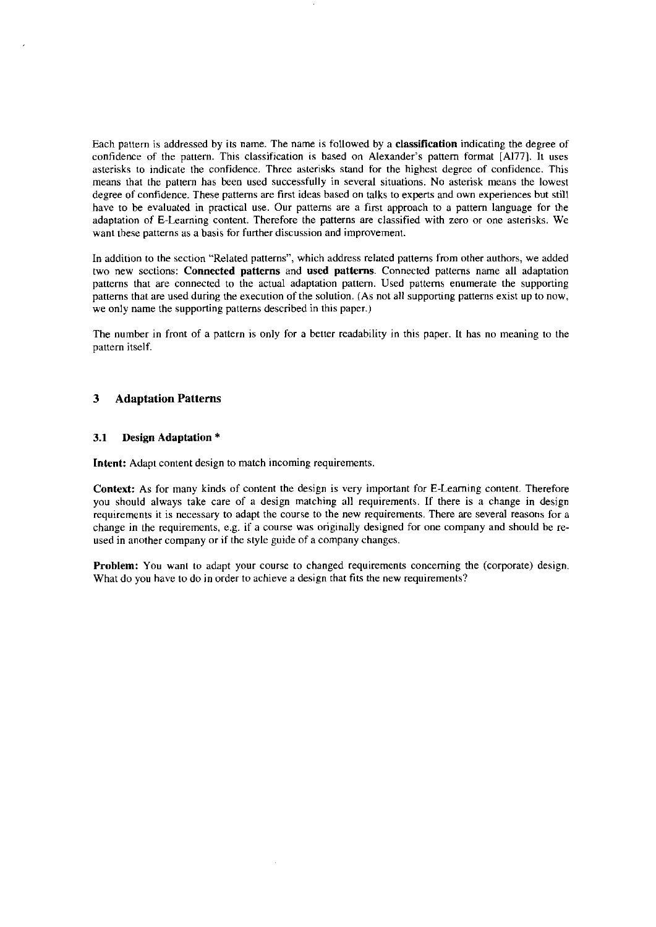Each pattern is addressed by its name. The name is followed by a **classificaiion** indicating the degree of confidence of the pattern. This classification is based on Alexander's pattern formal [A177]. It uses asterisks to indicate the confidence. Three asterisks stand for the highest degree of confidence. This means that the pattern has been used successfully in several situations. No asterisk means the lowest degree of confidence. These patterns are first ideas based on talks to experts and own experiences but still have to be evaluated in practical use. Our patterns are a first approach to a pattern language for the adaptation of E-Learning content. Therefore the patterns are classified with Zero or one asterisks. We want these patterns as a basis for further discussion and improvement.

In addition to the section "Related patterns", which address related patterns from other authors, we added two new sections: **Connected patterns** and **used patterns.** Connected patterns name all adaptation patterns that are connected to the actual adaptation pattern. Used patterns enumerate the supporting patterns that are used during the execution of the solution. (As not all supporting patterns exist up to now, we only name the supporting patterns described in this paper.)

The number in front of a pattern is only for a better readability in this paper. It has no meaning to the pattern itself.

#### **3 Adaptation Patterns**

#### **3.1 Design Adaptation** \*

**Intent:** Adapt content design to match incoming requirements.

**Context:** As for many kinds of content the design is very important for E-Leaming content. Therefore you should always take care of a design matching all requirements. If there is a change in design requirements it is necessary to adapt the course to the new requirements. There are several reasons for a change in the requirements, e.g. if a course was originally designed for one company and should be reused in another company or if the style guide of a company changes.

**Problem:** You want to adapt your course to changed requirements concerning the (corporate) design. What do you have to do in order to achieve a design that fits the new requirements?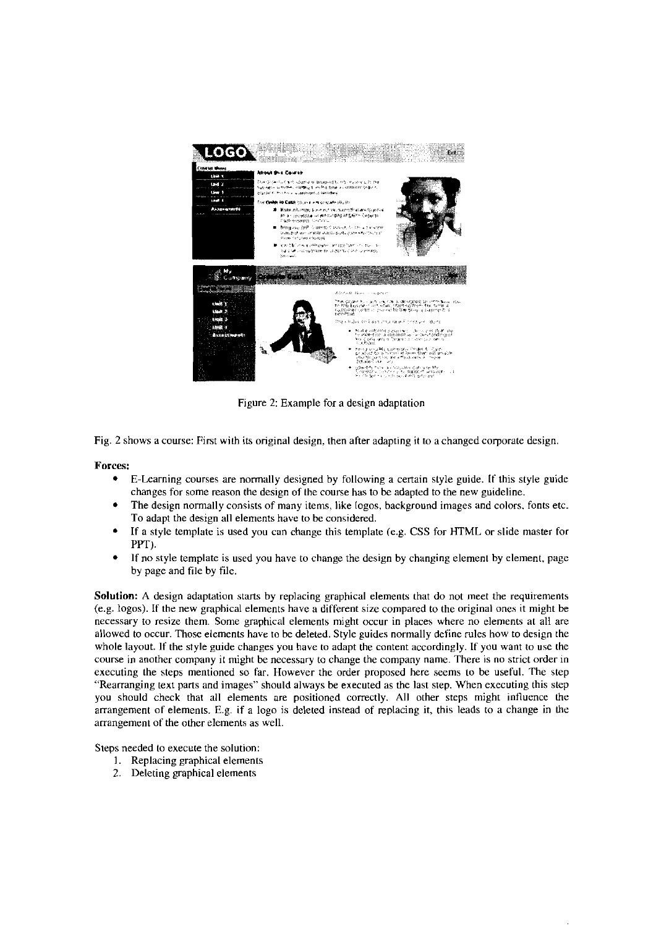

Figure 2: Example for a design adaptation

Fig. 2 shows a course: First with its original design. then after adapting it to a changed corporate design.

**Forces:** 

- E-Learning Courses are normally designed by following a certain style guide. If this style guide  $\bullet$ changes for some reason the design of the course has tobe adapted to the new guideline.
- The design normally consists of many items, like logos, background images and colors. fonts etc. To adapt the design all elements have tobe considered.
- If a style template is used you can change this template (e.g. CSS for HTML or slide master for  $\bullet$ **Pm).**
- If no style template is used you have to change the design by changing element by element, page by page and file by file.

Solution: A design adaptation starts by replacing graphical elements that do not meet the requirements (e.g. logos). If the new graphical elements have a different size compared to the original ones it might be necessary to resize them. Some graphical elements might occur in places where no elements at all are allowed to occur. Those elements have to be deleted. Style puides normally define rules how to design the whole layout. If the style guide changes you have to adapt the content accordingly. If you want to use the course in another company it might be necessary to change the company name. There is no strict order in executing the steps mentioned so far. However the order proposed here seems **10** be useful. The step "Rearranging text parts and images" should always be executed as the last step. When executing this step you should check that all elements are positioned correctly. All other steps might intluence the arrangement of elements. E.g. if a logo is deleted instead of replacing it, this leads to a change in the arrangement of the other elements as well.

Steps needed to execute the solution:

- I. Replacing graphical elements
- 2. Deleting graphical elements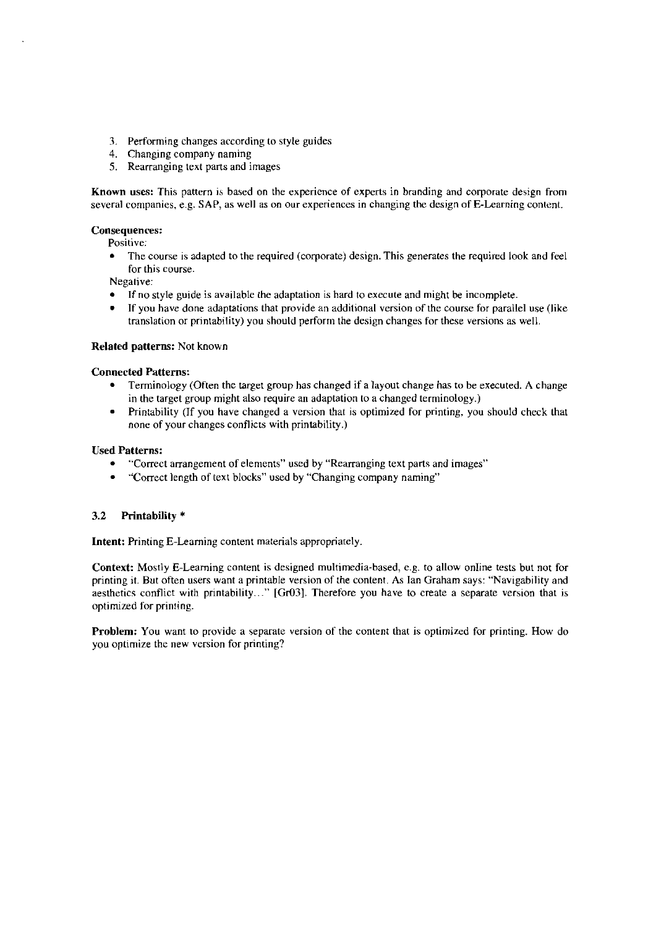- **3.** Perforrning changes according to style guides
- 4. Changing company naming
- 5. Rearranging text parts and images

**Known uses:** This pattern is based on the experience of experts in branding and corporate design from several companies, e.g. SAP, as well as on our experiences in changing the design of E-Learning content.

#### **Consequences:**

Positive:

The course is adapted to the required (corporate) design. This generates the requircd look and feel  $\bullet$ for this course.

Negative:

- 
- If no style guide is available the adaptation is hard to execute and might be incomplete.<br>If you have done adaptations that provide an additional version of the course for parallel use (like translation or printability) you should perform the design changes for these versions as well.

#### **Related Patterns:** Not known

#### **Connected Patterns:**

- Terrninology (Often the target group has changed if a Iayout change has tobe executed. A change in the target group might also require an adaptation to a changed terrninology.)
- $\bullet$ Printability (If you have changed a version that is optimized for printing, you should check that none of your changes conflicts with printability.)

#### **Used Patterns:**

- "Correct arrangement of elements" used by "Rearranging text parts and images"  $\bullet$
- "Correct length of text blocks" used by "Changing cornpany naming"  $\bullet$

### **3.2 hintability** \*

**Intent:** Printing E-Learning content materials appropriately.

Context: Mostly E-Learning content is designed multimedia-based, e.g. to allow online tests but not for printing it. But often users want a printable version of the content. As Ian Graham says: "Navigability and aesthetics conflict with printability..." [Gr03]. Therefore you have to create a separate version that is optirnized for printing.

**Problem:** You Want to provide a separate version of the content that is optimized for printing. How do you optimize the new version for printing?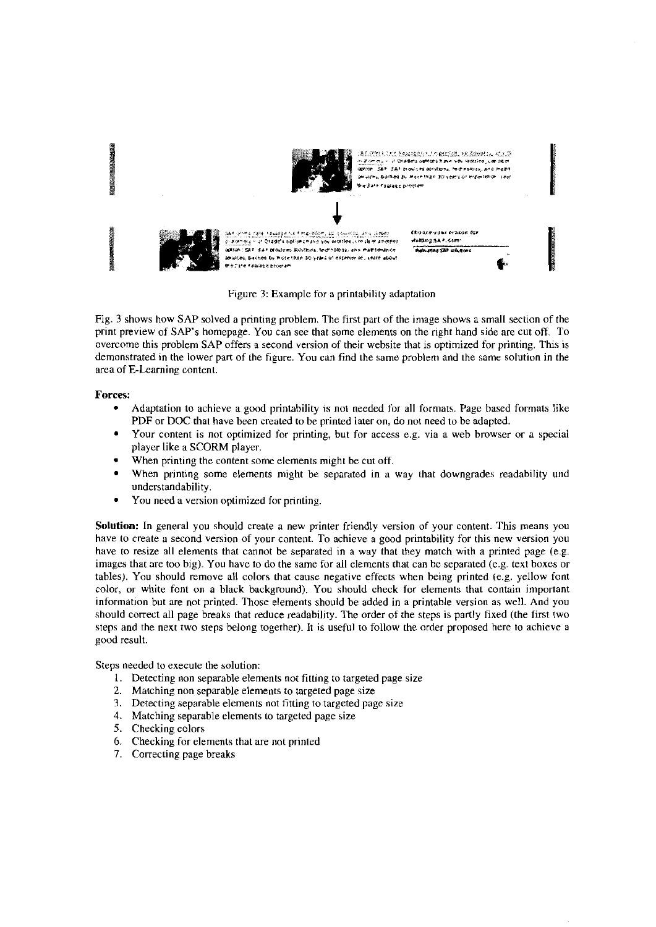

Figure 3: Example for a printability adaptation

Fig. 3 shows how SAP solved a printing problem. The first part of the image shows a small section of the print preview of SAP's homepage. You can see that some elements on the right hand side are cut off. To overcome this problem SAP offers a second version of their website that is optimized for printing. This is demonstrated in the lower part of the figure. You can find the same problem and the same solution in the area of E-Learning content.

#### **Forces:**

- Adaptation to achieve a good printability is not needed for all formats. Page based formats like  $\bullet$ PDF or DOC that have been created to be printed later on, do not need to be adapted.
- Your content is not optimized for printing, but for access e.g. via a web browser or a special player like a SCORM player.
- When printing the content some elements might be cut off.
- When printing some elements might be separated in a way that downgrades readability und understandability.
- You need a version optimized for printing.  $\bullet$

Solution: In general you should create a new printer friendly version of your content. This means you have to create a second version of your content. To achieve a good printability for this new version you have to resize all elements that cannot be separated in a way that they match with a printed page (e.g. images that are too big). You have to do the same for all elements that can be separated (e.g. text boxes or tables). You should remove all colors that cause negative effects when being printed (e.g. yellow font color, or white font on a black background). You should check for elements that contain important information but are not printed. Those elements should be added in a printable version as well. And you should correct all page breaks that reduce readability. The order of the steps is partly fixed (the first two steps and the next two steps belong together). It is useful to follow the order proposed here to achieve a good result.

Steps needed to execute the solution:

- 1. Detecting non separable elements not fitting to targeted page size
- 2. Matching non separable elements to targeted page size
- 3. Detecting separable elements not fitting to targeted page size
- 4. Matching separable elements to targeted page size
- 5. Checking colors
- 6. Checking for elements that are not printed
- 7. Correcting page breaks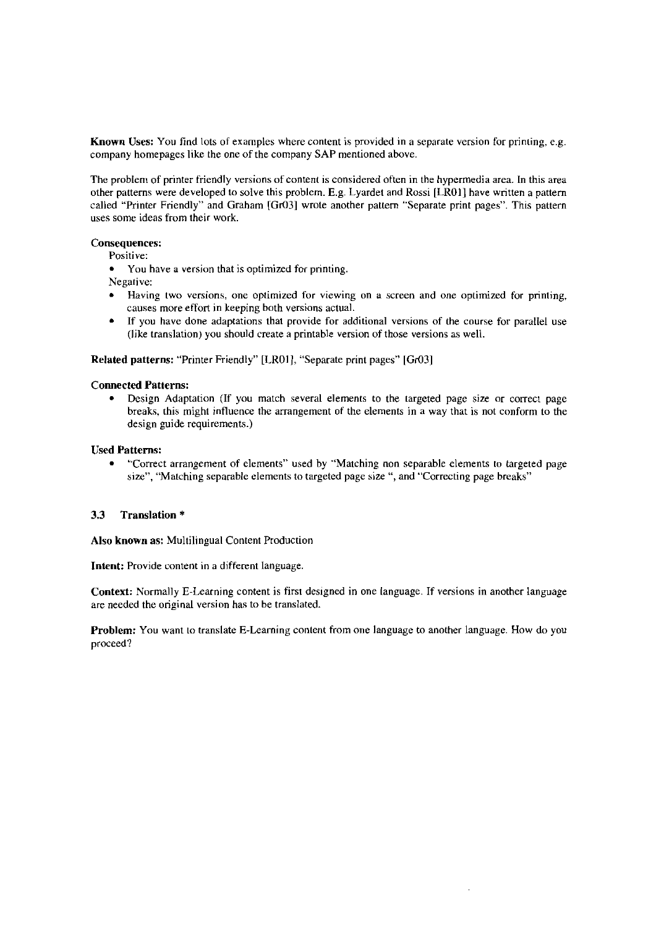Known Uses: You find lots of examples where content is provided in a separate version for printing, e.g. company homepages like ihe one of the company SAP mentioned above.

The problem of printer friendly versions of content is considered often in the hypermedia area. In this area other patterns were developed to solve this problem. E.g. Lyardet and Rossi [LROI] have written a pattern called "Printer Friendly" and Graham **[Gr03]** wrote another pattem "Separate print pages". This pattern uses some ideas from their work.

#### **Consequenccs:**

Positive:

You have **a** version that is optimized for printing.

Negative:

- Having two versions, one optimized for viewing on a screen and one optimized for printing, causes more effort in keeping both versions actual.
- If you have done adaptations that provide for additional versions of the Course for parallel use  $\bullet$ (like translation) you should create a printable version of those versions as well.

#### **Related patterns:** "Printer Friendly" [LROI 1, "Separate print pages" *[Gr03]*

#### **Connected Patterns:**

Design Adaptation (If you match several elements to the targeted page size or correct page  $\bullet$ breaks, this might influence the arrangement of the elements in a way that is not conform to the design guide requirements.)

#### **Used Patterns:**

"Correct arrangement of elements" used by "Matching non separable elements to targeted page  $\bullet$ size", "Matching separable elements to targeted page size ", and "Correcting page breaks"

#### **3.3 Translation** \*

**Also known as:** Multilingual Content Production

**Intent:** Provide content in a different language.

**Context:** Normally E-Learning content is first designed in one language. If versions in another language are needed the original version has to be translated.

**Problem:** You Want 10 translate E-Learning conient from one language to another language. How do you proceed?

 $\hat{\mathcal{A}}$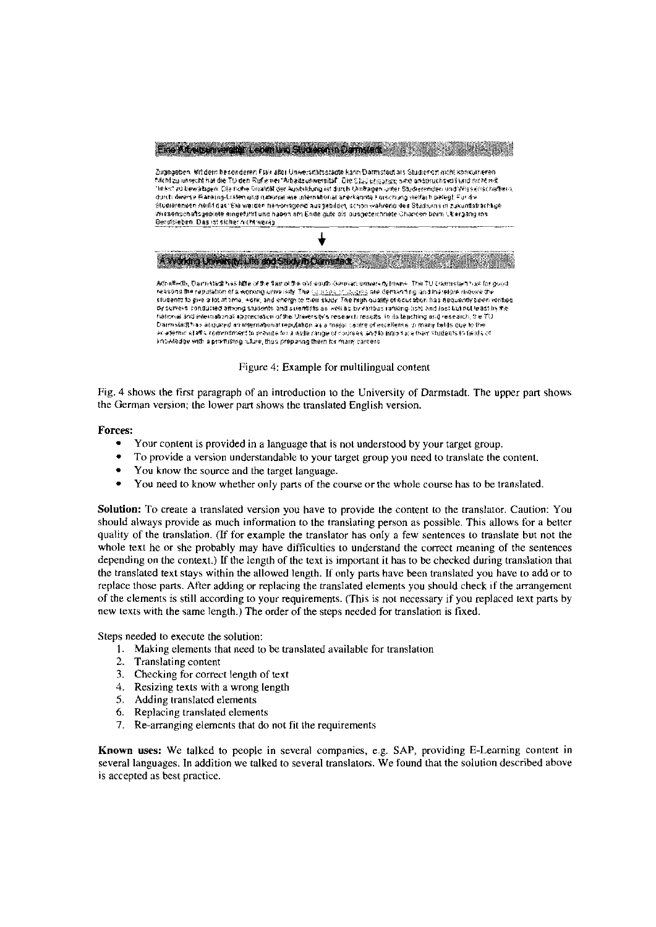

Figure 4: Example for multilingual content

Fig. 4 shows the first paragraph of an introduction to the Univenity of Darmstadt. The upper part shows the German version; the lower part shows the translated English version.

#### **Forces:**

- Your conient is provided in a language that is not understood by your target group.
- To provide a version understandable to your target group you need to translate the content.
- You know the source and the target language.
- You need to know whether only parts of the course or the whole course has to be translated.

Solution: To create a translated version you have to provide the content to the translator. Caution: You should always provide as much information to the translating person as possible. This allows for a better quality of the translation. (If for examplc the translator has only a few sentences to translate but not the whole text he or she probably may have difficulties to understand the correct meaning of the sentences depending on the context.) If the length of the text is important it has to be checked during translation that the translated text stays within the allowed length. If only parts have been translated you have to add or to replace those parts. After adding or replacing the translated elements you should check if the arrangement of the elements is still according to your requirements. (This is not necessary if you replaced text parts by new lexts with the same length.) The order of the steps needed for translation is fixed.

Steps needed to execute the solution:

- 1. Making elements that need tobe translated available for translation
- 2. Translating content
- 3. Checking for correct length of text
- 4. Resizing texts with a wrong length
- 5. Adding translated elements
- 6. Replacing translated elements
- **7.** Re-arranging elements that do not fit the requirements

**Known wes:** We talked to people in several companies, e.g. SAP, providing E-Leaming content in several languages. In addition we talked to several translators. We found that the solution described above is accepted as best practice.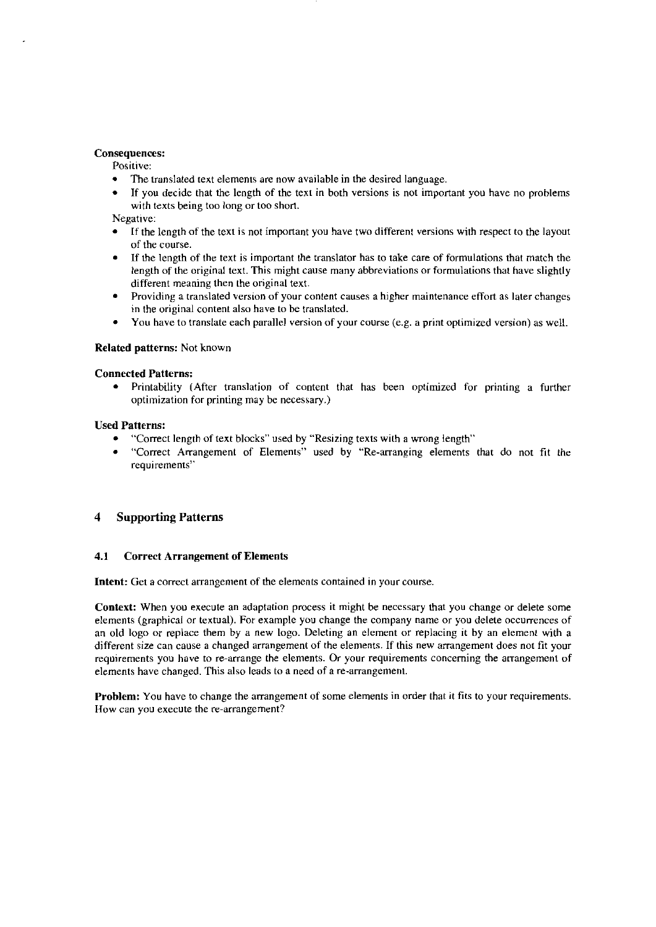#### **Consequences:**

Positive:

- The translated text elements are now available in the desired language.
- If you decide that the length of the text in both versions is not important you have no prohlems with texts being too long or too short.

Negative:

- If the length of the text is not important you have two different versions with respect lo the layout  $\bullet$ of the course.
- If the length of the text is important the translator has to take care of formulations that match the length of the original text. This might cause many abbreviations or formulations that have slightly different meaning then the original text.
- Providing a translated version of your content causes a higher maintenance effort as later changes in the original content also have to be translated.
- You have to translate each parallel version of your course (e.g. a print optimized version) as well.

#### **Related patterns: Not known**

#### **Connected Patterns:**

 $\bullet$ Printability (After translation of content that has been optimized for printing a further optimization for printing may be necessary.)

#### **Used Patterns:**

- "Correct length of text blocks" used by "Resizing texts with a wrong length"
- "Correct Arrangement of Elements" used by "Re-arranging elements that da not fit the requirements"

#### **4 Supporting Patterns**

#### **4.1 Correct Arrangement of Elements**

**Intent:** Get a correct arrangement of the elements contained in your course.

Context: When you execute an adaptation process it might be necessary that you change or delete some elements (graphical or textual). For example you change the company name or you delete occurrences of an old logo or replace them by a new logo. Deleting an element or replacing it by an element with a different size can cause a changed arrangement of the elements. If this new arrangement does not fit your requirements you have to re-arrange the elements. Or your requirements concerning the arrangement of elements have changed. This also leads to a need of a re-arrangement.

**Problem:** You have to change the arrangement of some elements in order that it fits to your requirements. How can you execute the re-arrangement?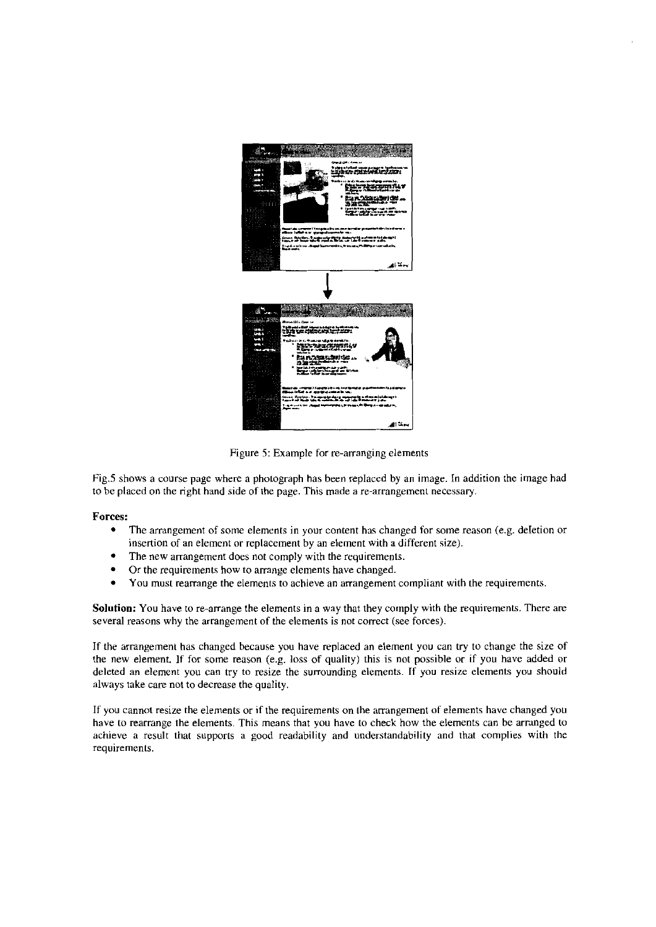

Figure 5: Example for re-arranging elements

Fig.5 shows a course page where a photograph has been replaced by an image. In addition the image had to be placed on the right hand side of the page. This made a re-arrangement necessary.

#### **Forces:**

- $\bullet$ The arrangement of some elements in your content hos changed for some reaaon (e.g. deletion or insertion of an element or replacement by an element with a different size).
- The new arrangement does not comply with the requirements. ٠
- Or the requirements how to arrange elements have changed.  $\bullet$
- $\bullet$ You must rearrange the elements to achieve an arrangement compliant with the requirements.

**Solution:** You have to re-arrange the elements in a way that they cornply with the requirements. There are several reasons why the arrangement of the elements is not correct (see forces).

If the arrangement has changed because you have replaced an element you can try to change the size of the new element. If for some reason (e.g. loss of quality) this is not possible or if you have added or deleted an element you can try to resize the surrounding elements. If you resize elements you should always take care not to decrease the quality.

If you cannot resize the elements or if the requirements on the arrangement of elements have changed you have to rearrange the elements. This means that you have to check how the elements can be arringed to achieve a result that Supports **a** good readability and understandability and that complies with the requirements.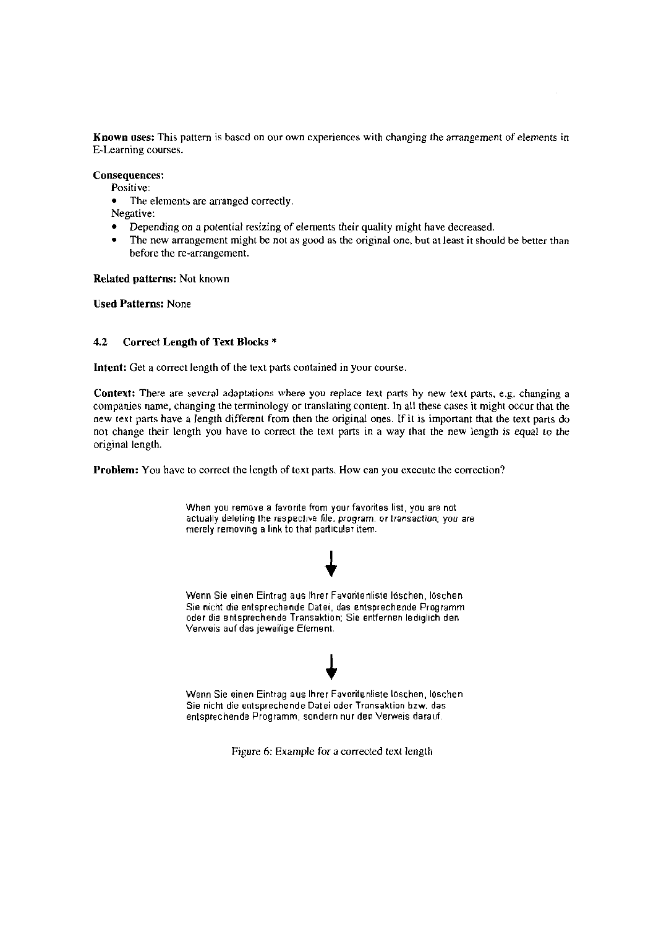**Known uses:** This pattern is based on our own experiences with changing the arrangement of elements in E-Learning Courses.

**Consequences:** 

Positive:

 $\blacksquare$ The elements are arranged correctly.

Negative:

- Depending on apotential resizing of elements their quality might have decreased.
- The new arrangement might be not as good as the original one, but at least it should be better than before the re-arrangement.

**Related Patterns:** Not known

**Used Patterns:** None

#### **4.2 Correct Length of Text Blocks** \*

Intent: Get a correct length of the text parts contained in your course.

Context: There are several adaptations where you replace text parts by new text parts, e.g. changing a companies narne, changing the terminology or translating content. In all these cases it might occur that the new texi parts have a length differeni from then the original ones. If it is important that the text parts do not change their length you have to correct the text parts in a way that the new length **is** equal io the original length.

**Problem:** You have to correct the length of text parts. How can you execute the correction?



Figure 6: Example for a corrected text length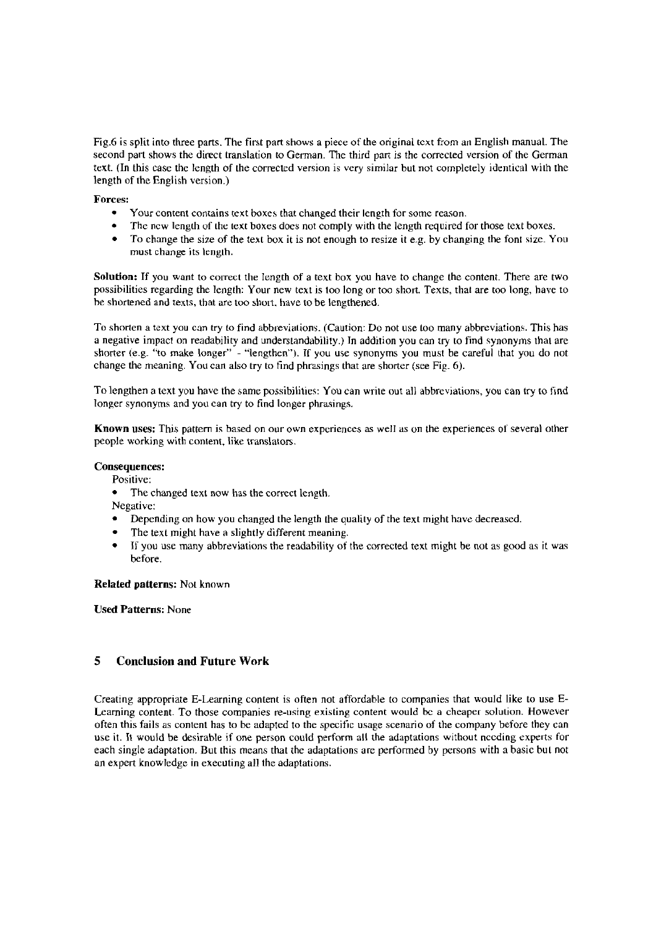Fig.6 is split into three parts. The first part shows a piece of the original text from an English manual. The second part shows the direct translation to German. The third part is the corrected version of the German text. (In this case the length of the corrected version is very similar but not cornpletely ideniical wich the length of the English version.)

#### **Forces:**

- Your content contains text boxes that changed their length for some reason.  $\bullet$
- $\bullet$ The new length of the text boxes does not comply with the length required for those text boxes.
- To change the size of the text box it is not enough to resize it e.g. by changing the font size. You must change its length.

Solution: If you want to correct the length of a text box you have to change the content. There are two possibilities regarding the lengih: Your new text is too long or too short. Texts, thai are too long, have to he shortened and texts, that are too sliort. have to be lengthened.

To shorten a text you can try to find abbreviations. (Caution: Do not use too many abbreviations. This has a negative impacl on readability and understandability.) In addition you can try to find synonyms that are shorter (e.g. "to make longer" - "lengthen"). If you use synonyms you must be careful that you do not change the meaning. You can also try to find phrasings that are shorter (see Fig.  $6$ ).

To lengthen a text you have the same possibilities: You can write out all abbreviations, you can try to find longer synonyms and you can try to find longer phrasings.

**Known uses:** This pattern is based on our own experiences as well as on the experiences of several other people working with content, like translators.

#### **Consequences:**

#### Positive:

The changed text now has the correct length.

Negative:

- Depending on how you changed the length the quality of the text might have decreased.
- The text might have a slightly different meaning.
- If you use many abbreviations the readability of the corrected text might be not as good as it was  $\bullet$ before.

#### **Related patterns: Not known**

**Used Patterns:** None

#### **5 Conclusion and Future Work**

Creating appropriate E-Learning content is often not affordable to companies that would like to use **E-**Learning content. To those companies re-uning existing content would **bc** a cheaper solutiori. However often this fails as content has to be adapted to the specific usage scenario of the company before they cnn use it. It would be desirable if one person could perform all the adaptations without nccding experts for each single adaptation. But this means that the adaptations are performed by persons with a basic but not an expert knowledge in executing all the adaptations.